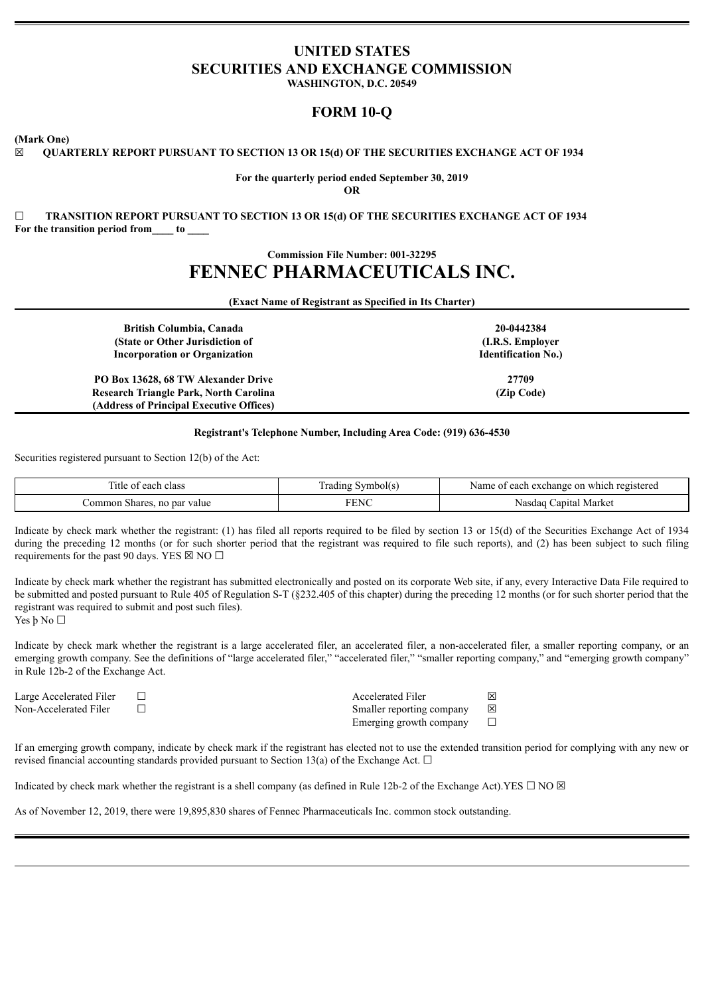# **UNITED STATES SECURITIES AND EXCHANGE COMMISSION**

**WASHINGTON, D.C. 20549**

# **FORM 10-Q**

**(Mark One)**

## ☒ **QUARTERLY REPORT PURSUANT TO SECTION 13 OR 15(d) OF THE SECURITIES EXCHANGE ACT OF 1934**

**For the quarterly period ended September 30, 2019 OR**

☐ **TRANSITION REPORT PURSUANT TO SECTION 13 OR 15(d) OF THE SECURITIES EXCHANGE ACT OF 1934 For the transition period from\_\_\_\_ to \_\_\_\_**

**Commission File Number: 001-32295**

# **FENNEC PHARMACEUTICALS INC.**

**(Exact Name of Registrant as Specified in Its Charter)**

**British Columbia, Canada (State or Other Jurisdiction of Incorporation or Organization 20-0442384 (I.R.S. Employer Identification No.) PO Box 13628, 68 TW Alexander Drive Research Triangle Park, North Carolina (Address of Principal Executive Offices) 27709 (Zip Code)**

# **Registrant's Telephone Number, Including Area Code: (919) 636-4530**

Securities registered pursuant to Section 12(b) of the Act:

| class<br>each<br>'iti€<br>ΩT        | mbolt<br>rading | Name<br>rexchange on<br>which registered<br>each |
|-------------------------------------|-----------------|--------------------------------------------------|
| par value<br>ommon<br>Shares.<br>no | FENC            | Market<br>apital<br>Nasdag                       |

Indicate by check mark whether the registrant: (1) has filed all reports required to be filed by section 13 or 15(d) of the Securities Exchange Act of 1934 during the preceding 12 months (or for such shorter period that the registrant was required to file such reports), and (2) has been subject to such filing requirements for the past 90 days. YES  $\boxtimes$  NO  $\Box$ 

Indicate by check mark whether the registrant has submitted electronically and posted on its corporate Web site, if any, every Interactive Data File required to be submitted and posted pursuant to Rule 405 of Regulation S-T (§232.405 of this chapter) during the preceding 12 months (or for such shorter period that the registrant was required to submit and post such files). Yes þ No ☐

Indicate by check mark whether the registrant is a large accelerated filer, an accelerated filer, a non-accelerated filer, a smaller reporting company, or an emerging growth company. See the definitions of "large accelerated filer," "accelerated filer," "smaller reporting company," and "emerging growth company" in Rule 12b-2 of the Exchange Act.

| Large Accelerated Filer | <b>Accelerated Filer</b>       | 冈           |
|-------------------------|--------------------------------|-------------|
| Non-Accelerated Filer   | Smaller reporting company      | $\boxtimes$ |
|                         | Emerging growth company $\Box$ |             |

If an emerging growth company, indicate by check mark if the registrant has elected not to use the extended transition period for complying with any new or revised financial accounting standards provided pursuant to Section 13(a) of the Exchange Act.  $\Box$ 

Indicated by check mark whether the registrant is a shell company (as defined in Rule 12b-2 of the Exchange Act).YES  $\Box$  NO  $\boxtimes$ 

As of November 12, 2019, there were 19,895,830 shares of Fennec Pharmaceuticals Inc. common stock outstanding.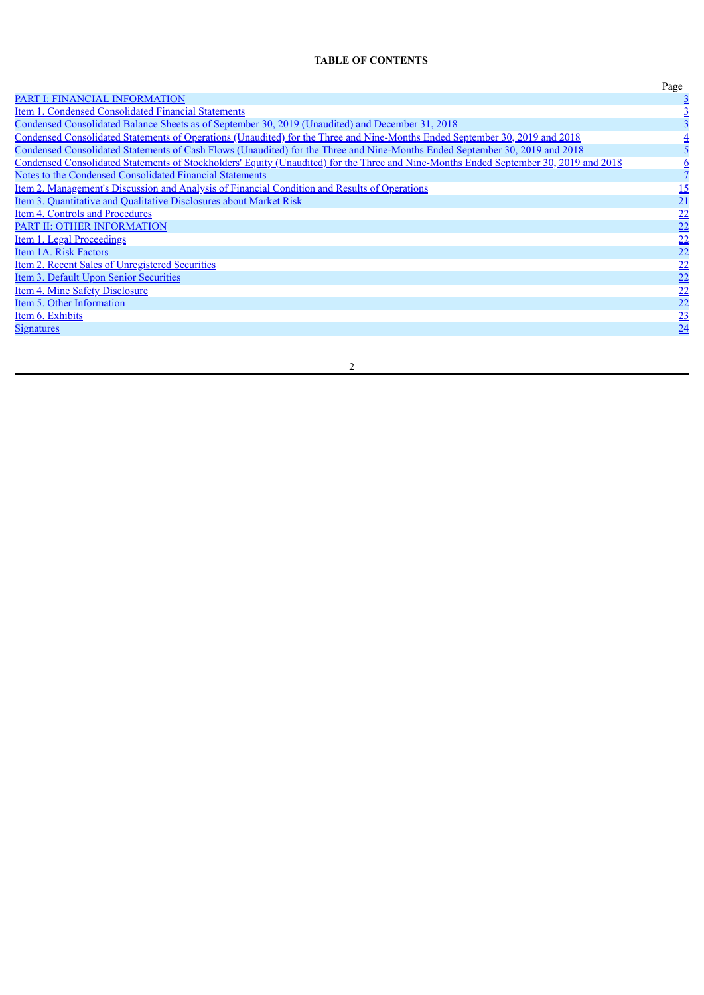# **TABLE OF CONTENTS**

|                                                                                                                                       | Page            |
|---------------------------------------------------------------------------------------------------------------------------------------|-----------------|
| <b>PART I: FINANCIAL INFORMATION</b>                                                                                                  |                 |
| Item 1. Condensed Consolidated Financial Statements                                                                                   |                 |
| Condensed Consolidated Balance Sheets as of September 30, 2019 (Unaudited) and December 31, 2018                                      |                 |
| Condensed Consolidated Statements of Operations (Unaudited) for the Three and Nine-Months Ended September 30, 2019 and 2018           |                 |
| Condensed Consolidated Statements of Cash Flows (Unaudited) for the Three and Nine-Months Ended September 30, 2019 and 2018           |                 |
| Condensed Consolidated Statements of Stockholders' Equity (Unaudited) for the Three and Nine-Months Ended September 30, 2019 and 2018 |                 |
| Notes to the Condensed Consolidated Financial Statements                                                                              |                 |
| <u>Item 2. Management's Discussion and Analysis of Financial Condition and Results of Operations</u>                                  | <u> 15</u>      |
| Item 3. Quantitative and Qualitative Disclosures about Market Risk                                                                    | 21              |
| Item 4. Controls and Procedures                                                                                                       | 22              |
| <b>PART II: OTHER INFORMATION</b>                                                                                                     | $\overline{22}$ |
| Item 1. Legal Proceedings                                                                                                             | $\frac{22}{22}$ |
| Item 1A. Risk Factors                                                                                                                 |                 |
| <u>Item 2. Recent Sales of Unregistered Securities</u>                                                                                |                 |
| Item 3. Default Upon Senior Securities                                                                                                | $\frac{22}{22}$ |
| Item 4. Mine Safety Disclosure                                                                                                        |                 |
| Item 5. Other Information                                                                                                             |                 |
| Item 6. Exhibits                                                                                                                      | $\frac{22}{22}$ |
| <b>Signatures</b>                                                                                                                     | $\overline{24}$ |
|                                                                                                                                       |                 |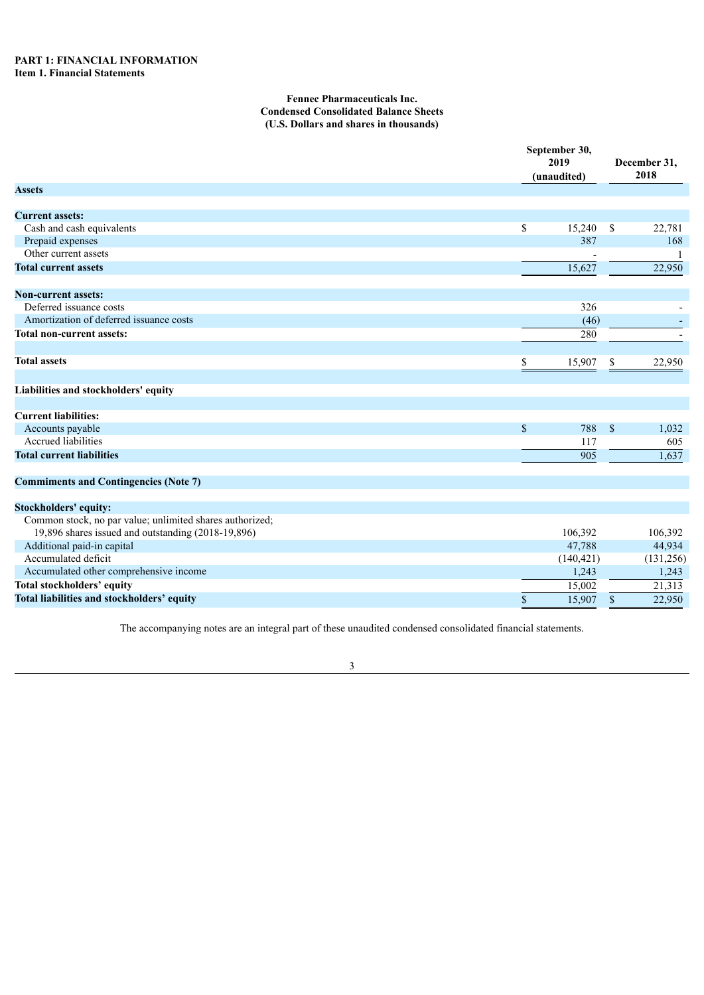## **Fennec Pharmaceuticals Inc. Condensed Consolidated Balance Sheets (U.S. Dollars and shares in thousands)**

<span id="page-2-2"></span><span id="page-2-1"></span><span id="page-2-0"></span>

|                                                          | September 30,<br>2019<br>(unaudited) | December 31,<br>2018   |
|----------------------------------------------------------|--------------------------------------|------------------------|
| <b>Assets</b>                                            |                                      |                        |
| <b>Current assets:</b>                                   |                                      |                        |
| Cash and cash equivalents                                | \$<br>15,240                         | 22,781<br>\$           |
| Prepaid expenses                                         | 387                                  | 168                    |
| Other current assets                                     |                                      |                        |
| <b>Total current assets</b>                              | 15,627                               | 22,950                 |
| <b>Non-current assets:</b>                               |                                      |                        |
| Deferred issuance costs                                  | 326                                  |                        |
| Amortization of deferred issuance costs                  | (46)                                 |                        |
| <b>Total non-current assets:</b>                         | 280                                  |                        |
| <b>Total assets</b>                                      | \$<br>15,907                         | 22,950<br>\$           |
| Liabilities and stockholders' equity                     |                                      |                        |
| <b>Current liabilities:</b>                              |                                      |                        |
| Accounts payable                                         | \$<br>788                            | $\mathcal{S}$<br>1,032 |
| Accrued liabilities                                      | 117                                  | 605                    |
| <b>Total current liabilities</b>                         | 905                                  | 1,637                  |
| <b>Commiments and Contingencies (Note 7)</b>             |                                      |                        |
| <b>Stockholders' equity:</b>                             |                                      |                        |
| Common stock, no par value; unlimited shares authorized; |                                      |                        |
| 19,896 shares issued and outstanding (2018-19,896)       | 106,392                              | 106,392                |
| Additional paid-in capital                               | 47,788                               | 44,934                 |
| Accumulated deficit                                      | (140, 421)                           | (131, 256)             |
| Accumulated other comprehensive income                   | 1,243                                | 1,243                  |
| Total stockholders' equity                               | 15,002                               | 21,313                 |
| Total liabilities and stockholders' equity               | \$<br>15,907                         | \$<br>22,950           |

The accompanying notes are an integral part of these unaudited condensed consolidated financial statements.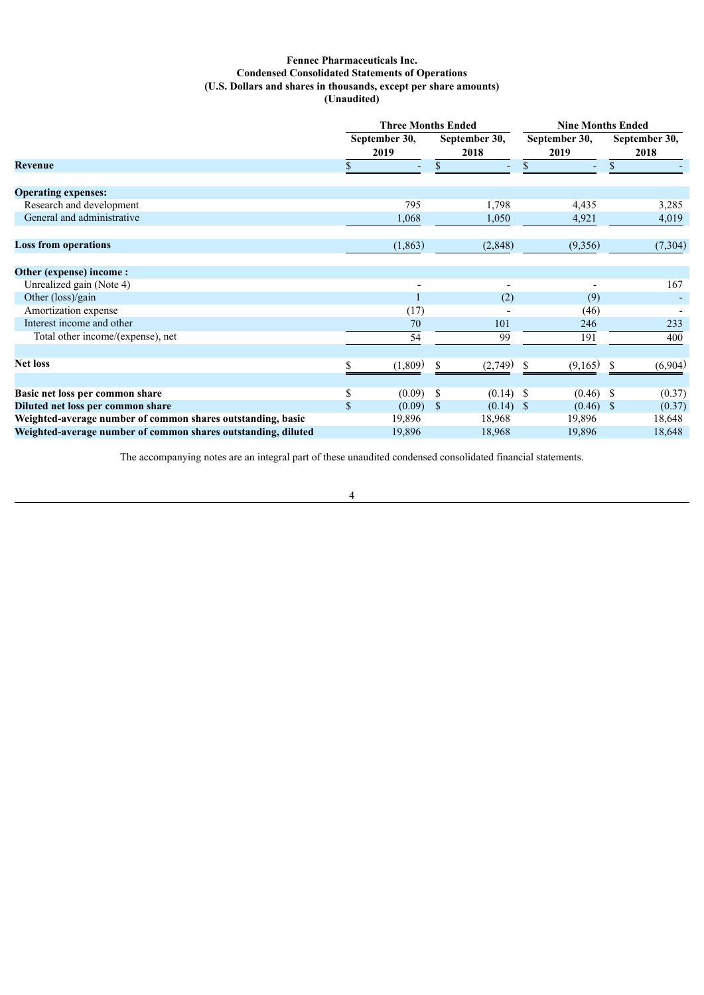# **Fennec Pharmaceuticals Inc. Condensed Consolidated Statements of Operations (U.S. Dollars and shares in thousands, except per share amounts) (Unaudited)**

<span id="page-3-0"></span>

|                                                               | <b>Three Months Ended</b> |          |                       | <b>Nine Months Ended</b> |                       |  |  |
|---------------------------------------------------------------|---------------------------|----------|-----------------------|--------------------------|-----------------------|--|--|
|                                                               | September 30,<br>2019     |          | September 30,<br>2018 | September 30,<br>2019    | September 30,<br>2018 |  |  |
| Revenue                                                       | \$                        |          | \$                    | \$<br>$\blacksquare$     | \$                    |  |  |
| <b>Operating expenses:</b>                                    |                           |          |                       |                          |                       |  |  |
| Research and development                                      |                           | 795      | 1,798                 | 4,435                    | 3,285                 |  |  |
| General and administrative                                    |                           | 1,068    | 1,050                 | 4,921                    | 4,019                 |  |  |
| <b>Loss from operations</b>                                   |                           | (1, 863) | (2,848)               | (9,356)                  | (7,304)               |  |  |
| Other (expense) income:                                       |                           |          |                       |                          |                       |  |  |
| Unrealized gain (Note 4)                                      |                           |          |                       |                          | 167                   |  |  |
| Other (loss)/gain                                             |                           |          | (2)                   | (9)                      |                       |  |  |
| Amortization expense                                          |                           | (17)     |                       | (46)                     |                       |  |  |
| Interest income and other                                     |                           | 70       | 101                   | 246                      | 233                   |  |  |
| Total other income/(expense), net                             |                           | 54       | 99                    | 191                      | 400                   |  |  |
| <b>Net loss</b>                                               | S                         | (1,809)  | (2,749)<br>\$         | (9,165)<br>S.            | (6,904)<br>\$         |  |  |
| Basic net loss per common share                               | \$                        | (0.09)   | $(0.14)$ \$<br>-S     | $(0.46)$ \$              | (0.37)                |  |  |
| Diluted net loss per common share                             | \$                        | (0.09)   | $(0.14)$ \$<br>-S     | (0.46)                   | (0.37)<br>- \$        |  |  |
| Weighted-average number of common shares outstanding, basic   |                           | 19,896   | 18,968                | 19,896                   | 18,648                |  |  |
| Weighted-average number of common shares outstanding, diluted |                           | 19,896   | 18,968                | 19,896                   | 18,648                |  |  |

The accompanying notes are an integral part of these unaudited condensed consolidated financial statements.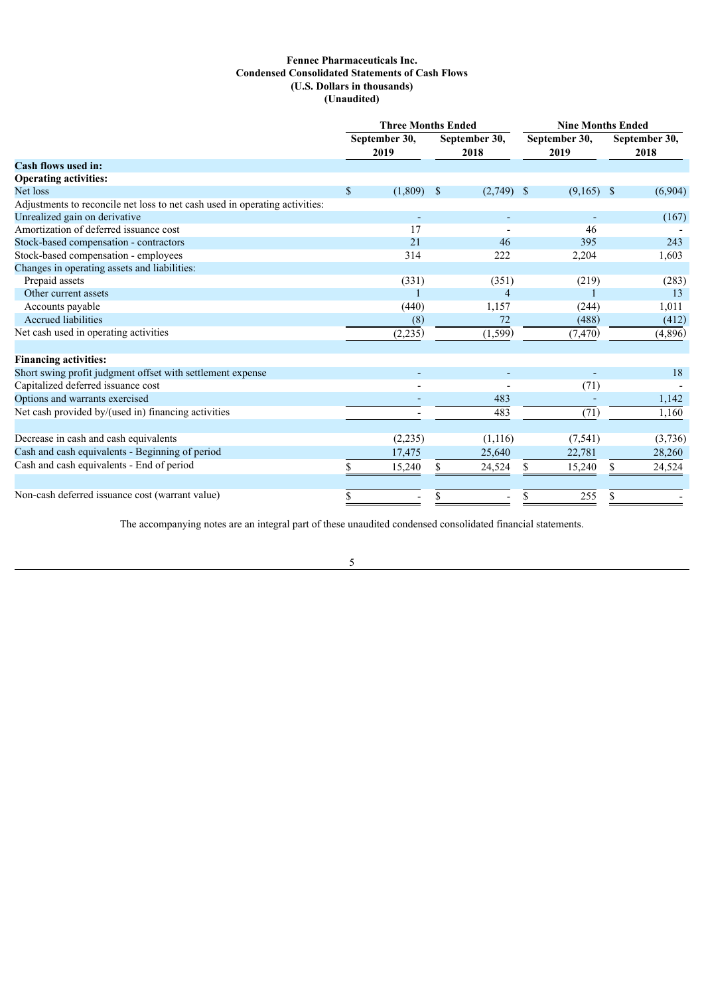# **Fennec Pharmaceuticals Inc. Condensed Consolidated Statements of Cash Flows (U.S. Dollars in thousands) (Unaudited)**

<span id="page-4-0"></span>

|                                                                             | <b>Three Months Ended</b> |               |              | <b>Nine Months Ended</b> |               |              |    |               |
|-----------------------------------------------------------------------------|---------------------------|---------------|--------------|--------------------------|---------------|--------------|----|---------------|
|                                                                             |                           | September 30, |              | September 30,            | September 30, |              |    | September 30, |
|                                                                             |                           | 2019          |              | 2018                     |               | 2019         |    | 2018          |
| <b>Cash flows used in:</b>                                                  |                           |               |              |                          |               |              |    |               |
| <b>Operating activities:</b>                                                |                           |               |              |                          |               |              |    |               |
| Net loss                                                                    | \$                        | (1,809)       | $\mathbf{s}$ | $(2,749)$ \$             |               | $(9,165)$ \$ |    | (6,904)       |
| Adjustments to reconcile net loss to net cash used in operating activities: |                           |               |              |                          |               |              |    |               |
| Unrealized gain on derivative                                               |                           |               |              |                          |               |              |    | (167)         |
| Amortization of deferred issuance cost                                      |                           | 17            |              |                          |               | 46           |    |               |
| Stock-based compensation - contractors                                      |                           | 21            |              | 46                       |               | 395          |    | 243           |
| Stock-based compensation - employees                                        |                           | 314           |              | 222                      |               | 2,204        |    | 1,603         |
| Changes in operating assets and liabilities:                                |                           |               |              |                          |               |              |    |               |
| Prepaid assets                                                              |                           | (331)         |              | (351)                    |               | (219)        |    | (283)         |
| Other current assets                                                        |                           |               |              | $\overline{4}$           |               |              |    | 13            |
| Accounts payable                                                            |                           | (440)         |              | 1,157                    |               | (244)        |    | 1,011         |
| <b>Accrued liabilities</b>                                                  |                           | (8)           |              | 72                       |               | (488)        |    | (412)         |
| Net cash used in operating activities                                       |                           | (2, 235)      |              | (1, 599)                 |               | (7, 470)     |    | (4,896)       |
|                                                                             |                           |               |              |                          |               |              |    |               |
| <b>Financing activities:</b>                                                |                           |               |              |                          |               |              |    |               |
| Short swing profit judgment offset with settlement expense                  |                           |               |              |                          |               |              |    | 18            |
| Capitalized deferred issuance cost                                          |                           |               |              |                          |               | (71)         |    |               |
| Options and warrants exercised                                              |                           |               |              | 483                      |               |              |    | 1,142         |
| Net cash provided by/(used in) financing activities                         |                           |               |              | 483                      |               | (71)         |    | 1,160         |
|                                                                             |                           |               |              |                          |               |              |    |               |
| Decrease in cash and cash equivalents                                       |                           | (2,235)       |              | (1,116)                  |               | (7, 541)     |    | (3,736)       |
| Cash and cash equivalents - Beginning of period                             |                           | 17,475        |              | 25,640                   |               | 22,781       |    | 28,260        |
| Cash and cash equivalents - End of period                                   |                           | 15,240        | \$           | 24,524                   | S.            | 15,240       | \$ | 24,524        |
| Non-cash deferred issuance cost (warrant value)                             |                           |               | \$           |                          | \$            | 255          | \$ |               |

The accompanying notes are an integral part of these unaudited condensed consolidated financial statements.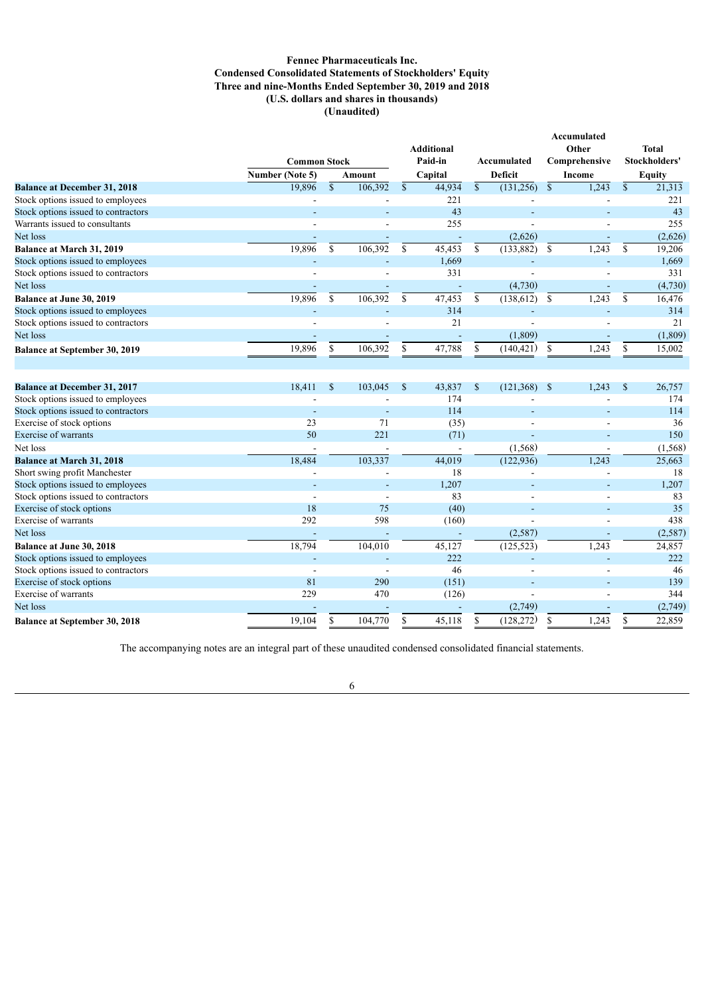# **Fennec Pharmaceuticals Inc. Condensed Consolidated Statements of Stockholders' Equity Three and nine-Months Ended September 30, 2019 and 2018 (U.S. dollars and shares in thousands) (Unaudited)**

<span id="page-5-0"></span>

|                                      |                          | <b>Common Stock</b> |         |               | <b>Additional</b><br>Paid-in |              | Accumulated    |               | Accumulated<br>Other<br>Comprehensive |               | <b>Total</b><br>Stockholders' |
|--------------------------------------|--------------------------|---------------------|---------|---------------|------------------------------|--------------|----------------|---------------|---------------------------------------|---------------|-------------------------------|
|                                      | Number (Note 5)          |                     | Amount  |               | Capital                      |              | <b>Deficit</b> |               | <b>Income</b>                         | <b>Equity</b> |                               |
| <b>Balance at December 31, 2018</b>  | 19,896                   | $\mathbb{S}$        | 106,392 | $\mathcal{S}$ | 44,934                       | $\mathbb{S}$ | (131, 256)     | $\mathbb{S}$  | 1,243                                 | $\mathbf S$   | 21,313                        |
| Stock options issued to employees    |                          |                     |         |               | 221                          |              |                |               |                                       |               | 221                           |
| Stock options issued to contractors  | ÷                        |                     | ÷       |               | 43                           |              |                |               |                                       |               | 43                            |
| Warrants issued to consultants       |                          |                     |         |               | 255                          |              |                |               |                                       |               | 255                           |
| Net loss                             |                          |                     |         |               |                              |              | (2,626)        |               |                                       |               | (2,626)                       |
| Balance at March 31, 2019            | 19,896                   | $\mathbf S$         | 106,392 | \$            | 45,453                       | \$           | (133, 882)     | \$            | 1,243                                 | <sup>\$</sup> | 19,206                        |
| Stock options issued to employees    | ä,                       |                     |         |               | 1,669                        |              |                |               |                                       |               | 1,669                         |
| Stock options issued to contractors  |                          |                     |         |               | 331                          |              |                |               |                                       |               | 331                           |
| Net loss                             | $\overline{\phantom{a}}$ |                     |         |               |                              |              | (4,730)        |               | $\overline{\phantom{a}}$              |               | (4,730)                       |
| <b>Balance at June 30, 2019</b>      | 19,896                   | $\mathbb{S}$        | 106,392 | $\mathsf{\$}$ | 47,453                       | $\mathbb{S}$ | (138, 612)     | <sup>\$</sup> | 1,243                                 | $\mathbb S$   | 16,476                        |
| Stock options issued to employees    |                          |                     |         |               | 314                          |              |                |               |                                       |               | 314                           |
| Stock options issued to contractors  |                          |                     |         |               | 21                           |              |                |               |                                       |               | 21                            |
| Net loss                             |                          |                     |         |               |                              |              | (1, 809)       |               |                                       |               | (1, 809)                      |
| <b>Balance at September 30, 2019</b> | 19,896                   | $\mathbb{S}$        | 106,392 | \$            | 47,788                       | \$           | (140, 421)     | \$            | 1,243                                 | \$            | 15,002                        |
|                                      |                          |                     |         |               |                              |              |                |               |                                       |               |                               |
| <b>Balance at December 31, 2017</b>  | 18,411                   | $\$$                | 103,045 | \$            | 43,837                       | \$           | (121, 368)     | $\mathcal{S}$ | 1,243                                 | $\mathcal{S}$ | 26,757                        |
| Stock options issued to employees    | Ĭ.                       |                     |         |               | 174                          |              |                |               |                                       |               | 174                           |
| Stock options issued to contractors  | $\sim$                   |                     | ÷       |               | 114                          |              |                |               |                                       |               | 114                           |
| Exercise of stock options            | 23                       |                     | 71      |               | (35)                         |              |                |               |                                       |               | 36                            |
| <b>Exercise of warrants</b>          | 50                       |                     | 221     |               | (71)                         |              |                |               |                                       |               | 150                           |
| Net loss                             |                          |                     |         |               |                              |              | (1, 568)       |               |                                       |               | (1, 568)                      |
| <b>Balance at March 31, 2018</b>     | 18,484                   |                     | 103,337 |               | 44,019                       |              | (122, 936)     |               | 1,243                                 |               | 25,663                        |
| Short swing profit Manchester        |                          |                     |         |               | 18                           |              |                |               |                                       |               | 18                            |
| Stock options issued to employees    | $\overline{\phantom{a}}$ |                     | $\sim$  |               | 1,207                        |              |                |               |                                       |               | 1,207                         |
| Stock options issued to contractors  | J.                       |                     |         |               | 83                           |              |                |               |                                       |               | 83                            |
| Exercise of stock options            | 18                       |                     | 75      |               | (40)                         |              |                |               |                                       |               | 35                            |
| <b>Exercise</b> of warrants          | 292                      |                     | 598     |               | (160)                        |              |                |               |                                       |               | 438                           |
| Net loss                             |                          |                     |         |               |                              |              | (2, 587)       |               |                                       |               | (2,587)                       |
| <b>Balance at June 30, 2018</b>      | 18,794                   |                     | 104,010 |               | 45,127                       |              | (125, 523)     |               | 1,243                                 |               | 24,857                        |
| Stock options issued to employees    | Ē,                       |                     |         |               | 222                          |              |                |               |                                       |               | 222                           |
| Stock options issued to contractors  |                          |                     |         |               | 46                           |              |                |               |                                       |               | 46                            |
| Exercise of stock options            | 81                       |                     | 290     |               | (151)                        |              |                |               |                                       |               | 139                           |
| Exercise of warrants                 | 229                      |                     | 470     |               | (126)                        |              | $\blacksquare$ |               |                                       |               | 344                           |
| Net loss                             |                          |                     |         |               |                              |              | (2,749)        |               |                                       |               | (2,749)                       |
| <b>Balance at September 30, 2018</b> | 19,104                   | \$                  | 104,770 | \$            | 45,118                       | \$           | (128, 272)     | \$            | 1,243                                 | \$            | 22,859                        |

The accompanying notes are an integral part of these unaudited condensed consolidated financial statements.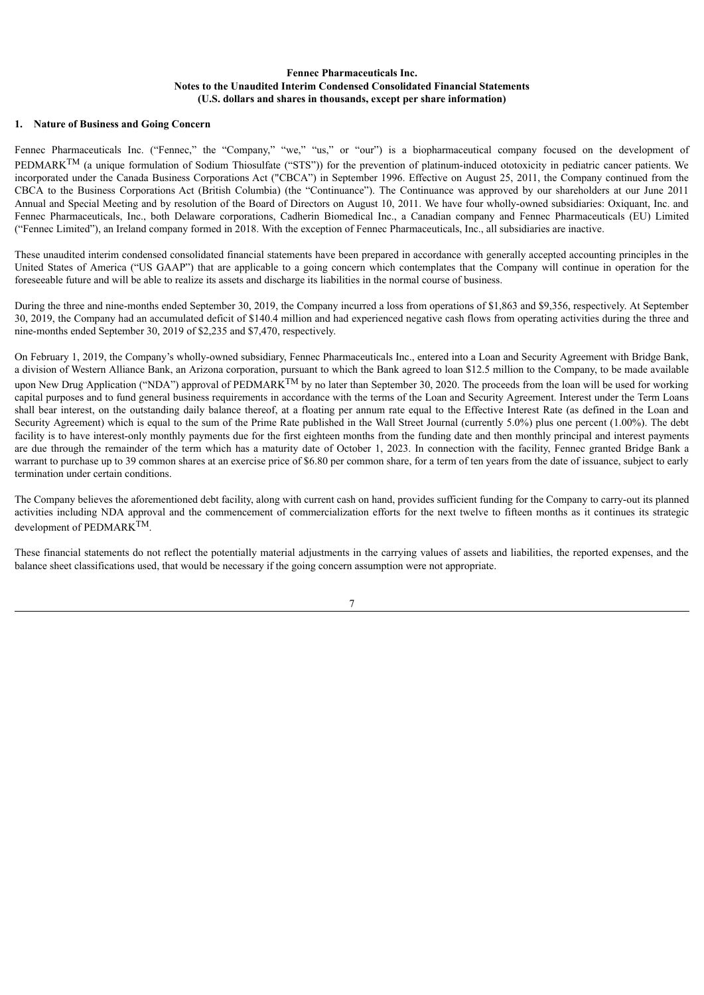#### <span id="page-6-0"></span>**1. Nature of Business and Going Concern**

Fennec Pharmaceuticals Inc. ("Fennec," the "Company," "we," "us," or "our") is a biopharmaceutical company focused on the development of  $PEDMARK^{TM}$  (a unique formulation of Sodium Thiosulfate ("STS")) for the prevention of platinum-induced ototoxicity in pediatric cancer patients. We incorporated under the Canada Business Corporations Act ("CBCA") in September 1996. Effective on August 25, 2011, the Company continued from the CBCA to the Business Corporations Act (British Columbia) (the "Continuance"). The Continuance was approved by our shareholders at our June 2011 Annual and Special Meeting and by resolution of the Board of Directors on August 10, 2011. We have four wholly-owned subsidiaries: Oxiquant, Inc. and Fennec Pharmaceuticals, Inc., both Delaware corporations, Cadherin Biomedical Inc., a Canadian company and Fennec Pharmaceuticals (EU) Limited ("Fennec Limited"), an Ireland company formed in 2018. With the exception of Fennec Pharmaceuticals, Inc., all subsidiaries are inactive.

These unaudited interim condensed consolidated financial statements have been prepared in accordance with generally accepted accounting principles in the United States of America ("US GAAP") that are applicable to a going concern which contemplates that the Company will continue in operation for the foreseeable future and will be able to realize its assets and discharge its liabilities in the normal course of business.

During the three and nine-months ended September 30, 2019, the Company incurred a loss from operations of \$1,863 and \$9,356, respectively. At September 30, 2019, the Company had an accumulated deficit of \$140.4 million and had experienced negative cash flows from operating activities during the three and nine-months ended September 30, 2019 of \$2,235 and \$7,470, respectively.

On February 1, 2019, the Company's wholly-owned subsidiary, Fennec Pharmaceuticals Inc., entered into a Loan and Security Agreement with Bridge Bank, a division of Western Alliance Bank, an Arizona corporation, pursuant to which the Bank agreed to loan \$12.5 million to the Company, to be made available upon New Drug Application ("NDA") approval of PEDMARK<sup>TM</sup> by no later than September 30, 2020. The proceeds from the loan will be used for working capital purposes and to fund general business requirements in accordance with the terms of the Loan and Security Agreement. Interest under the Term Loans shall bear interest, on the outstanding daily balance thereof, at a floating per annum rate equal to the Effective Interest Rate (as defined in the Loan and Security Agreement) which is equal to the sum of the Prime Rate published in the Wall Street Journal (currently 5.0%) plus one percent (1.00%). The debt facility is to have interest-only monthly payments due for the first eighteen months from the funding date and then monthly principal and interest payments are due through the remainder of the term which has a maturity date of October 1, 2023. In connection with the facility, Fennec granted Bridge Bank a warrant to purchase up to 39 common shares at an exercise price of \$6.80 per common share, for a term of ten years from the date of issuance, subject to early termination under certain conditions.

The Company believes the aforementioned debt facility, along with current cash on hand, provides sufficient funding for the Company to carry-out its planned activities including NDA approval and the commencement of commercialization efforts for the next twelve to fifteen months as it continues its strategic development of PEDMARK<sup>TM</sup>.

These financial statements do not reflect the potentially material adjustments in the carrying values of assets and liabilities, the reported expenses, and the balance sheet classifications used, that would be necessary if the going concern assumption were not appropriate.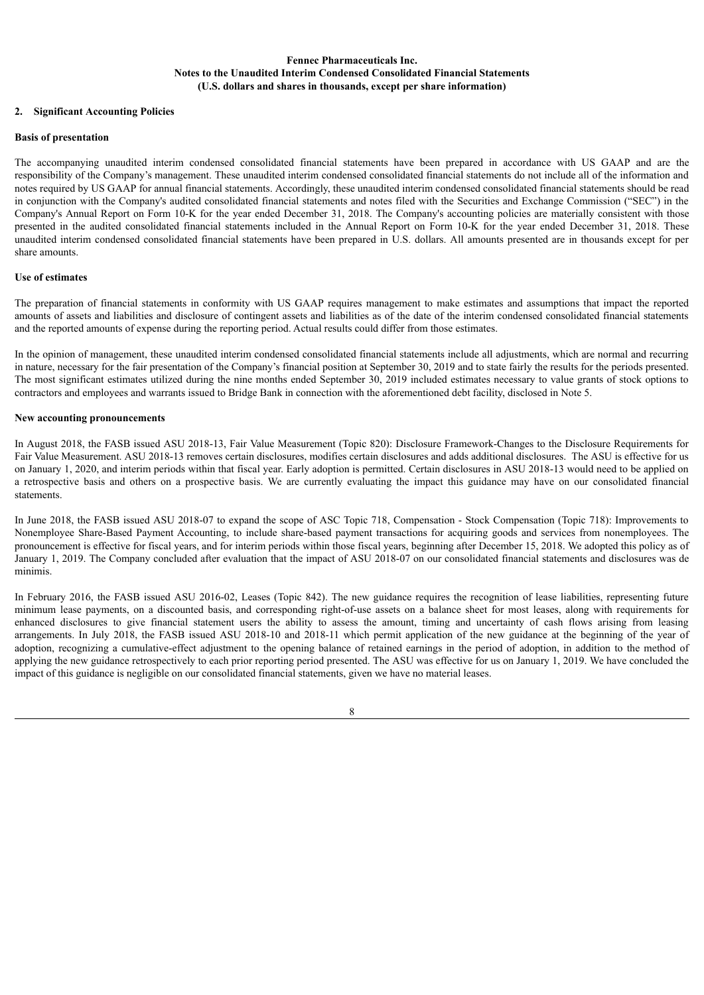#### **2. Significant Accounting Policies**

#### **Basis of presentation**

The accompanying unaudited interim condensed consolidated financial statements have been prepared in accordance with US GAAP and are the responsibility of the Company's management. These unaudited interim condensed consolidated financial statements do not include all of the information and notes required by US GAAP for annual financial statements. Accordingly, these unaudited interim condensed consolidated financial statements should be read in conjunction with the Company's audited consolidated financial statements and notes filed with the Securities and Exchange Commission ("SEC") in the Company's Annual Report on Form 10-K for the year ended December 31, 2018. The Company's accounting policies are materially consistent with those presented in the audited consolidated financial statements included in the Annual Report on Form 10-K for the year ended December 31, 2018. These unaudited interim condensed consolidated financial statements have been prepared in U.S. dollars. All amounts presented are in thousands except for per share amounts.

#### **Use of estimates**

The preparation of financial statements in conformity with US GAAP requires management to make estimates and assumptions that impact the reported amounts of assets and liabilities and disclosure of contingent assets and liabilities as of the date of the interim condensed consolidated financial statements and the reported amounts of expense during the reporting period. Actual results could differ from those estimates.

In the opinion of management, these unaudited interim condensed consolidated financial statements include all adjustments, which are normal and recurring in nature, necessary for the fair presentation of the Company's financial position at September 30, 2019 and to state fairly the results for the periods presented. The most significant estimates utilized during the nine months ended September 30, 2019 included estimates necessary to value grants of stock options to contractors and employees and warrants issued to Bridge Bank in connection with the aforementioned debt facility, disclosed in Note 5.

#### **New accounting pronouncements**

In August 2018, the FASB issued ASU 2018-13, Fair Value Measurement (Topic 820): Disclosure Framework-Changes to the Disclosure Requirements for Fair Value Measurement. ASU 2018-13 removes certain disclosures, modifies certain disclosures and adds additional disclosures. The ASU is effective for us on January 1, 2020, and interim periods within that fiscal year. Early adoption is permitted. Certain disclosures in ASU 2018-13 would need to be applied on a retrospective basis and others on a prospective basis. We are currently evaluating the impact this guidance may have on our consolidated financial statements.

In June 2018, the FASB issued ASU 2018-07 to expand the scope of ASC Topic 718, Compensation - Stock Compensation (Topic 718): Improvements to Nonemployee Share-Based Payment Accounting, to include share-based payment transactions for acquiring goods and services from nonemployees. The pronouncement is effective for fiscal years, and for interim periods within those fiscal years, beginning after December 15, 2018. We adopted this policy as of January 1, 2019. The Company concluded after evaluation that the impact of ASU 2018-07 on our consolidated financial statements and disclosures was de minimis.

In February 2016, the FASB issued ASU 2016-02, Leases (Topic 842). The new guidance requires the recognition of lease liabilities, representing future minimum lease payments, on a discounted basis, and corresponding right-of-use assets on a balance sheet for most leases, along with requirements for enhanced disclosures to give financial statement users the ability to assess the amount, timing and uncertainty of cash flows arising from leasing arrangements. In July 2018, the FASB issued ASU 2018-10 and 2018-11 which permit application of the new guidance at the beginning of the year of adoption, recognizing a cumulative-effect adjustment to the opening balance of retained earnings in the period of adoption, in addition to the method of applying the new guidance retrospectively to each prior reporting period presented. The ASU was effective for us on January 1, 2019. We have concluded the impact of this guidance is negligible on our consolidated financial statements, given we have no material leases.

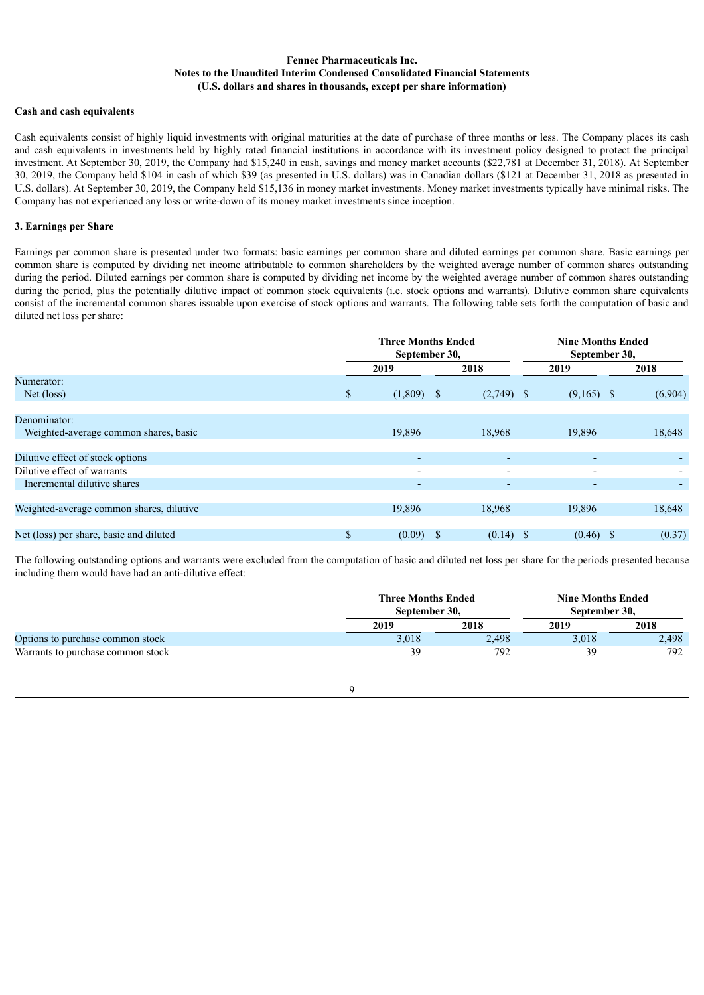#### **Cash and cash equivalents**

Cash equivalents consist of highly liquid investments with original maturities at the date of purchase of three months or less. The Company places its cash and cash equivalents in investments held by highly rated financial institutions in accordance with its investment policy designed to protect the principal investment. At September 30, 2019, the Company had \$15,240 in cash, savings and money market accounts (\$22,781 at December 31, 2018). At September 30, 2019, the Company held \$104 in cash of which \$39 (as presented in U.S. dollars) was in Canadian dollars (\$121 at December 31, 2018 as presented in U.S. dollars). At September 30, 2019, the Company held \$15,136 in money market investments. Money market investments typically have minimal risks. The Company has not experienced any loss or write-down of its money market investments since inception.

#### **3. Earnings per Share**

Earnings per common share is presented under two formats: basic earnings per common share and diluted earnings per common share. Basic earnings per common share is computed by dividing net income attributable to common shareholders by the weighted average number of common shares outstanding during the period. Diluted earnings per common share is computed by dividing net income by the weighted average number of common shares outstanding during the period, plus the potentially dilutive impact of common stock equivalents (i.e. stock options and warrants). Dilutive common share equivalents consist of the incremental common shares issuable upon exercise of stock options and warrants. The following table sets forth the computation of basic and diluted net loss per share:

|                                          | <b>Three Months Ended</b><br>September 30, |  |                          | <b>Nine Months Ended</b><br>September 30, |                          |  |         |
|------------------------------------------|--------------------------------------------|--|--------------------------|-------------------------------------------|--------------------------|--|---------|
|                                          | 2019                                       |  | 2018                     |                                           | 2019                     |  | 2018    |
| Numerator:                               |                                            |  |                          |                                           |                          |  |         |
| Net (loss)                               | \$<br>$(1,809)$ \$                         |  | $(2,749)$ \$             |                                           | $(9,165)$ \$             |  | (6,904) |
|                                          |                                            |  |                          |                                           |                          |  |         |
| Denominator:                             |                                            |  |                          |                                           |                          |  |         |
| Weighted-average common shares, basic    | 19,896                                     |  | 18,968                   |                                           | 19,896                   |  | 18,648  |
|                                          |                                            |  |                          |                                           |                          |  |         |
| Dilutive effect of stock options         | ٠                                          |  |                          |                                           | $\overline{\phantom{a}}$ |  |         |
| Dilutive effect of warrants              | $\overline{\phantom{0}}$                   |  | $\overline{\phantom{0}}$ |                                           | ۰.                       |  |         |
| Incremental dilutive shares              |                                            |  |                          |                                           | $\overline{\phantom{0}}$ |  |         |
|                                          |                                            |  |                          |                                           |                          |  |         |
| Weighted-average common shares, dilutive | 19,896                                     |  | 18,968                   |                                           | 19,896                   |  | 18,648  |
|                                          |                                            |  |                          |                                           |                          |  |         |
| Net (loss) per share, basic and diluted  | \$<br>$(0.09)$ \$                          |  | $(0.14)$ \$              |                                           | $(0.46)$ \$              |  | (0.37)  |

The following outstanding options and warrants were excluded from the computation of basic and diluted net loss per share for the periods presented because including them would have had an anti-dilutive effect:

|                                   | <b>Three Months Ended</b><br>September 30. |       | <b>Nine Months Ended</b><br>September 30. |       |  |
|-----------------------------------|--------------------------------------------|-------|-------------------------------------------|-------|--|
|                                   | 2019                                       | 2018  | 2019                                      | 2018  |  |
| Options to purchase common stock  | 3,018                                      | 2,498 | 3,018                                     | 2,498 |  |
| Warrants to purchase common stock | 39                                         | 792   | 39                                        | 792   |  |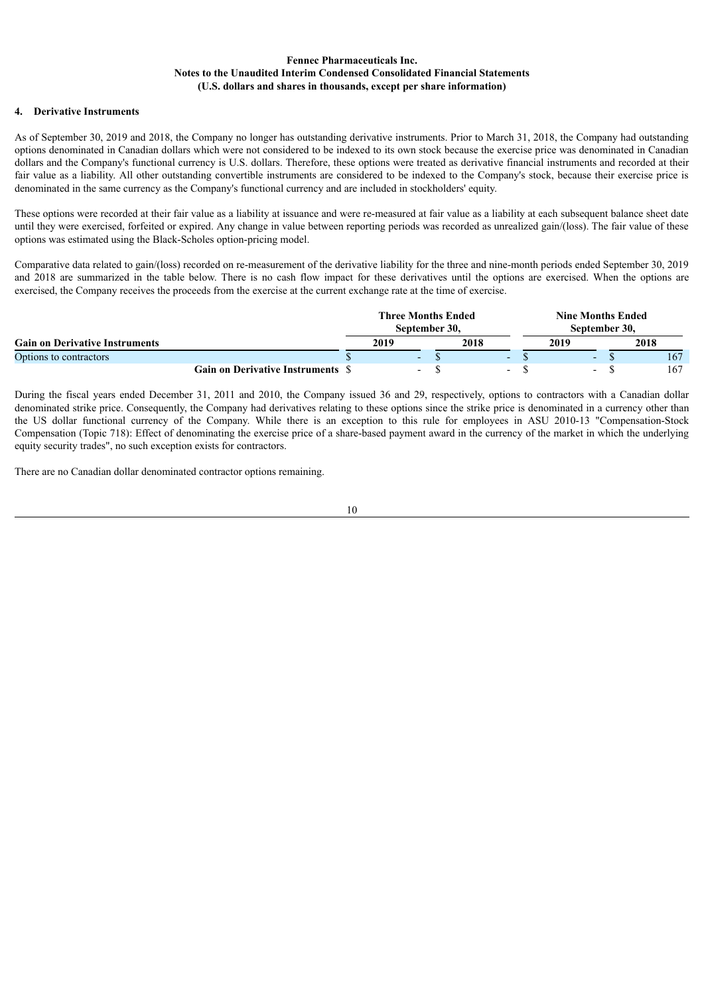#### **4. Derivative Instruments**

As of September 30, 2019 and 2018, the Company no longer has outstanding derivative instruments. Prior to March 31, 2018, the Company had outstanding options denominated in Canadian dollars which were not considered to be indexed to its own stock because the exercise price was denominated in Canadian dollars and the Company's functional currency is U.S. dollars. Therefore, these options were treated as derivative financial instruments and recorded at their fair value as a liability. All other outstanding convertible instruments are considered to be indexed to the Company's stock, because their exercise price is denominated in the same currency as the Company's functional currency and are included in stockholders' equity.

These options were recorded at their fair value as a liability at issuance and were re-measured at fair value as a liability at each subsequent balance sheet date until they were exercised, forfeited or expired. Any change in value between reporting periods was recorded as unrealized gain/(loss). The fair value of these options was estimated using the Black-Scholes option-pricing model.

Comparative data related to gain/(loss) recorded on re-measurement of the derivative liability for the three and nine-month periods ended September 30, 2019 and 2018 are summarized in the table below. There is no cash flow impact for these derivatives until the options are exercised. When the options are exercised, the Company receives the proceeds from the exercise at the current exchange rate at the time of exercise.

|                                       |                                         | <b>Three Months Ended</b><br>September 30. |  | <b>Nine Months Ended</b><br>September 30. |  |                          |  |      |
|---------------------------------------|-----------------------------------------|--------------------------------------------|--|-------------------------------------------|--|--------------------------|--|------|
| <b>Gain on Derivative Instruments</b> |                                         | 2019                                       |  | 2018                                      |  | 2019                     |  | 2018 |
| Options to contractors                |                                         |                                            |  |                                           |  | $\overline{\phantom{0}}$ |  | 167  |
|                                       | <b>Gain on Derivative Instruments</b> S | -                                          |  |                                           |  | $\overline{\phantom{a}}$ |  | 167  |

During the fiscal years ended December 31, 2011 and 2010, the Company issued 36 and 29, respectively, options to contractors with a Canadian dollar denominated strike price. Consequently, the Company had derivatives relating to these options since the strike price is denominated in a currency other than the US dollar functional currency of the Company. While there is an exception to this rule for employees in ASU 2010-13 "Compensation-Stock Compensation (Topic 718): Effect of denominating the exercise price of a share-based payment award in the currency of the market in which the underlying equity security trades", no such exception exists for contractors.

There are no Canadian dollar denominated contractor options remaining.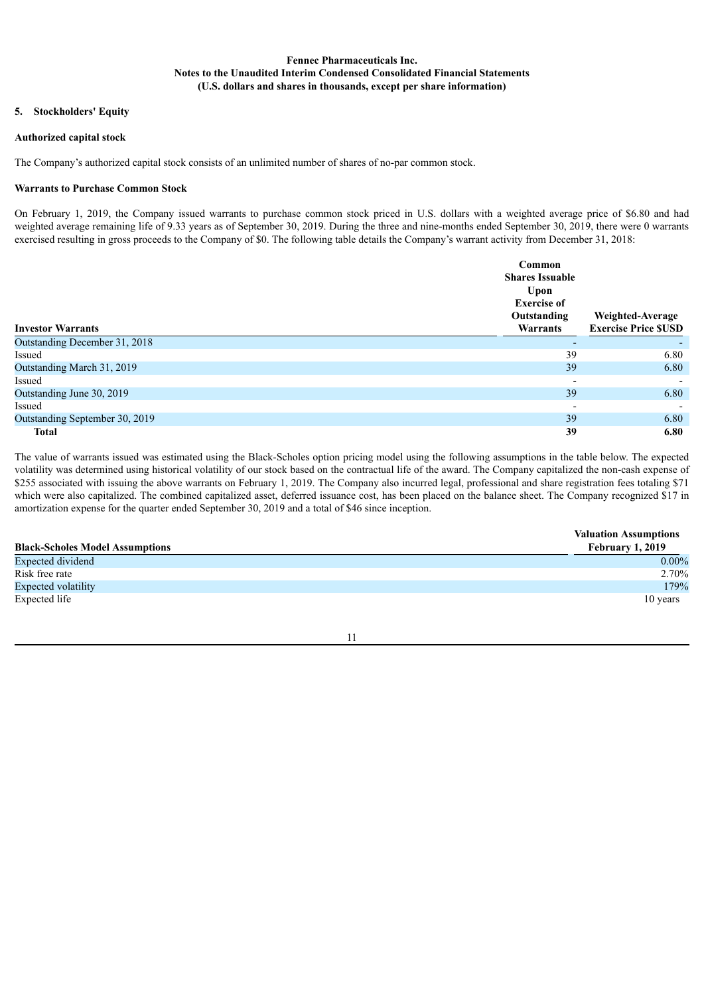# **5. Stockholders' Equity**

## **Authorized capital stock**

The Company's authorized capital stock consists of an unlimited number of shares of no-par common stock.

## **Warrants to Purchase Common Stock**

On February 1, 2019, the Company issued warrants to purchase common stock priced in U.S. dollars with a weighted average price of \$6.80 and had weighted average remaining life of 9.33 years as of September 30, 2019. During the three and nine-months ended September 30, 2019, there were 0 warrants exercised resulting in gross proceeds to the Company of \$0. The following table details the Company's warrant activity from December 31, 2018:

| <b>Investor Warrants</b>       | Common<br><b>Shares Issuable</b><br>Upon<br><b>Exercise of</b><br>Outstanding<br>Warrants | Weighted-Average<br><b>Exercise Price \$USD</b> |
|--------------------------------|-------------------------------------------------------------------------------------------|-------------------------------------------------|
| Outstanding December 31, 2018  | $\overline{\phantom{0}}$                                                                  |                                                 |
| Issued                         | 39                                                                                        | 6.80                                            |
| Outstanding March 31, 2019     | 39                                                                                        | 6.80                                            |
| Issued                         | $\overline{\phantom{0}}$                                                                  |                                                 |
| Outstanding June 30, 2019      | 39                                                                                        | 6.80                                            |
| Issued                         | $\overline{\phantom{a}}$                                                                  |                                                 |
| Outstanding September 30, 2019 | 39                                                                                        | 6.80                                            |
| <b>Total</b>                   | 39                                                                                        | 6.80                                            |

The value of warrants issued was estimated using the Black-Scholes option pricing model using the following assumptions in the table below. The expected volatility was determined using historical volatility of our stock based on the contractual life of the award. The Company capitalized the non-cash expense of \$255 associated with issuing the above warrants on February 1, 2019. The Company also incurred legal, professional and share registration fees totaling \$71 which were also capitalized. The combined capitalized asset, deferred issuance cost, has been placed on the balance sheet. The Company recognized \$17 in amortization expense for the quarter ended September 30, 2019 and a total of \$46 since inception.

|                                        | <b>Valuation Assumptions</b> |
|----------------------------------------|------------------------------|
| <b>Black-Scholes Model Assumptions</b> | February 1, 2019             |
| Expected dividend                      | $0.00\%$                     |
| Risk free rate                         | 2.70%                        |
| Expected volatility                    | 179%                         |
| Expected life                          | 10 years                     |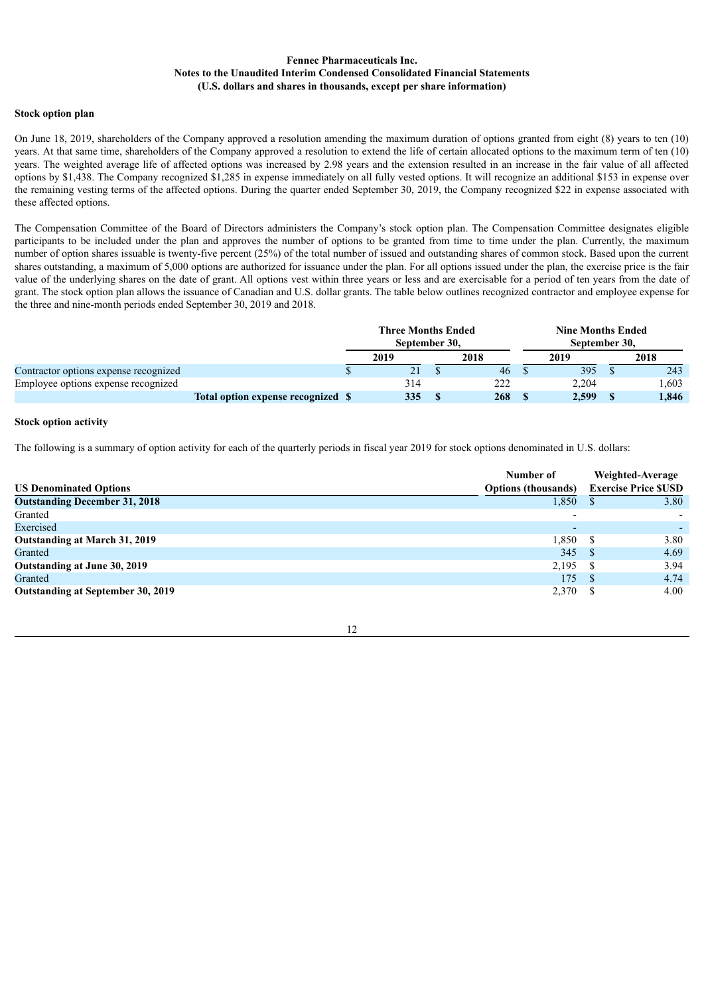#### **Stock option plan**

On June 18, 2019, shareholders of the Company approved a resolution amending the maximum duration of options granted from eight (8) years to ten (10) years. At that same time, shareholders of the Company approved a resolution to extend the life of certain allocated options to the maximum term of ten (10) years. The weighted average life of affected options was increased by 2.98 years and the extension resulted in an increase in the fair value of all affected options by \$1,438. The Company recognized \$1,285 in expense immediately on all fully vested options. It will recognize an additional \$153 in expense over the remaining vesting terms of the affected options. During the quarter ended September 30, 2019, the Company recognized \$22 in expense associated with these affected options.

The Compensation Committee of the Board of Directors administers the Company's stock option plan. The Compensation Committee designates eligible participants to be included under the plan and approves the number of options to be granted from time to time under the plan. Currently, the maximum number of option shares issuable is twenty-five percent (25%) of the total number of issued and outstanding shares of common stock. Based upon the current shares outstanding, a maximum of 5,000 options are authorized for issuance under the plan. For all options issued under the plan, the exercise price is the fair value of the underlying shares on the date of grant. All options vest within three years or less and are exercisable for a period of ten years from the date of grant. The stock option plan allows the issuance of Canadian and U.S. dollar grants. The table below outlines recognized contractor and employee expense for the three and nine-month periods ended September 30, 2019 and 2018.

|                                       |                                       | <b>Three Months Ended</b><br>September 30, |  |      | <b>Nine Months Ended</b><br>September 30. |       |  |       |
|---------------------------------------|---------------------------------------|--------------------------------------------|--|------|-------------------------------------------|-------|--|-------|
|                                       |                                       | 2019                                       |  | 2018 |                                           | 2019  |  | 2018  |
| Contractor options expense recognized |                                       | 21                                         |  | 46   |                                           | 395   |  | 243   |
| Employee options expense recognized   |                                       | 314                                        |  | 222  |                                           | 2.204 |  | .603  |
|                                       | Total option expense recognized \, \, | 335                                        |  | 268  |                                           | 2.599 |  | 1,846 |

#### **Stock option activity**

The following is a summary of option activity for each of the quarterly periods in fiscal year 2019 for stock options denominated in U.S. dollars:

|                                      | Number of                  | Weighted-Average<br><b>Exercise Price SUSD</b> |      |  |
|--------------------------------------|----------------------------|------------------------------------------------|------|--|
| <b>US Denominated Options</b>        | <b>Options</b> (thousands) |                                                |      |  |
| <b>Outstanding December 31, 2018</b> | 1,850                      |                                                | 3.80 |  |
| Granted                              | $\overline{\phantom{a}}$   |                                                |      |  |
| Exercised                            | $\overline{\phantom{0}}$   |                                                |      |  |
| Outstanding at March 31, 2019        | 1,850                      |                                                | 3.80 |  |
| Granted                              | 345S                       |                                                | 4.69 |  |
| Outstanding at June 30, 2019         | $2.195$ \$                 |                                                | 3.94 |  |
| Granted                              | 175                        |                                                | 4.74 |  |
| Outstanding at September 30, 2019    | 2,370                      |                                                | 4.00 |  |

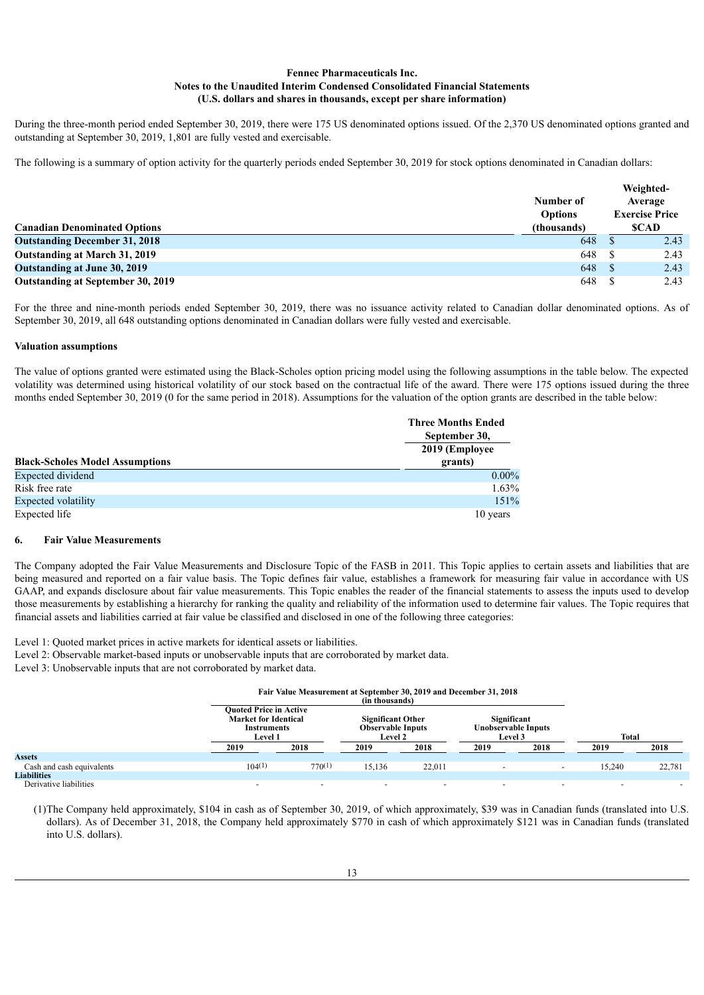During the three-month period ended September 30, 2019, there were 175 US denominated options issued. Of the 2,370 US denominated options granted and outstanding at September 30, 2019, 1,801 are fully vested and exercisable.

The following is a summary of option activity for the quarterly periods ended September 30, 2019 for stock options denominated in Canadian dollars:

|                                      | Number of<br><b>Options</b> | Weighted-<br>Average<br><b>Exercise Price</b> |
|--------------------------------------|-----------------------------|-----------------------------------------------|
| <b>Canadian Denominated Options</b>  | (thousands)                 | <b>SCAD</b>                                   |
| <b>Outstanding December 31, 2018</b> | 648                         | 2.43                                          |
| Outstanding at March 31, 2019        | 648                         | 2.43                                          |
| Outstanding at June 30, 2019         | 648                         | 2.43                                          |
| Outstanding at September 30, 2019    | 648                         | 2.43                                          |

For the three and nine-month periods ended September 30, 2019, there was no issuance activity related to Canadian dollar denominated options. As of September 30, 2019, all 648 outstanding options denominated in Canadian dollars were fully vested and exercisable.

#### **Valuation assumptions**

The value of options granted were estimated using the Black-Scholes option pricing model using the following assumptions in the table below. The expected volatility was determined using historical volatility of our stock based on the contractual life of the award. There were 175 options issued during the three months ended September 30, 2019 (0 for the same period in 2018). Assumptions for the valuation of the option grants are described in the table below:

|                                        | <b>Three Months Ended</b><br>September 30,<br>2019 (Employee) |
|----------------------------------------|---------------------------------------------------------------|
| <b>Black-Scholes Model Assumptions</b> | grants)                                                       |
| <b>Expected dividend</b>               | $0.00\%$                                                      |
| Risk free rate                         | 1.63%                                                         |
| Expected volatility                    | 151%                                                          |
| Expected life                          | 10 years                                                      |

# **6. Fair Value Measurements**

The Company adopted the Fair Value Measurements and Disclosure Topic of the FASB in 2011. This Topic applies to certain assets and liabilities that are being measured and reported on a fair value basis. The Topic defines fair value, establishes a framework for measuring fair value in accordance with US GAAP, and expands disclosure about fair value measurements. This Topic enables the reader of the financial statements to assess the inputs used to develop those measurements by establishing a hierarchy for ranking the quality and reliability of the information used to determine fair values. The Topic requires that financial assets and liabilities carried at fair value be classified and disclosed in one of the following three categories:

Level 1: Quoted market prices in active markets for identical assets or liabilities.

Level 2: Observable market-based inputs or unobservable inputs that are corroborated by market data.

Level 3: Unobservable inputs that are not corroborated by market data.

|                           |                                                                                        | Fair Value Measurement at September 30, 2019 and December 31, 2018 | (in thousands)                                                  |        |                                                      |                          |              |        |
|---------------------------|----------------------------------------------------------------------------------------|--------------------------------------------------------------------|-----------------------------------------------------------------|--------|------------------------------------------------------|--------------------------|--------------|--------|
|                           | <b>Ouoted Price in Active</b><br><b>Market for Identical</b><br>Instruments<br>Level 1 |                                                                    | <b>Significant Other</b><br><b>Observable Inputs</b><br>Level 2 |        | Significant<br><b>Unobservable Inputs</b><br>Level 3 |                          | <b>Total</b> |        |
|                           | 2019                                                                                   | 2018                                                               | 2019                                                            | 2018   | 2019                                                 | 2018                     | 2019         | 2018   |
| <b>Assets</b>             |                                                                                        |                                                                    |                                                                 |        |                                                      |                          |              |        |
| Cash and cash equivalents | 104(1)                                                                                 | 770(1)                                                             | 15.136                                                          | 22,011 |                                                      | $\overline{\phantom{a}}$ | 15,240       | 22,781 |
| <b>Liabilities</b>        |                                                                                        |                                                                    |                                                                 |        |                                                      |                          |              |        |
| Derivative liabilities    |                                                                                        |                                                                    | -                                                               |        |                                                      |                          |              |        |

(1)The Company held approximately, \$104 in cash as of September 30, 2019, of which approximately, \$39 was in Canadian funds (translated into U.S. dollars). As of December 31, 2018, the Company held approximately \$770 in cash of which approximately \$121 was in Canadian funds (translated into U.S. dollars).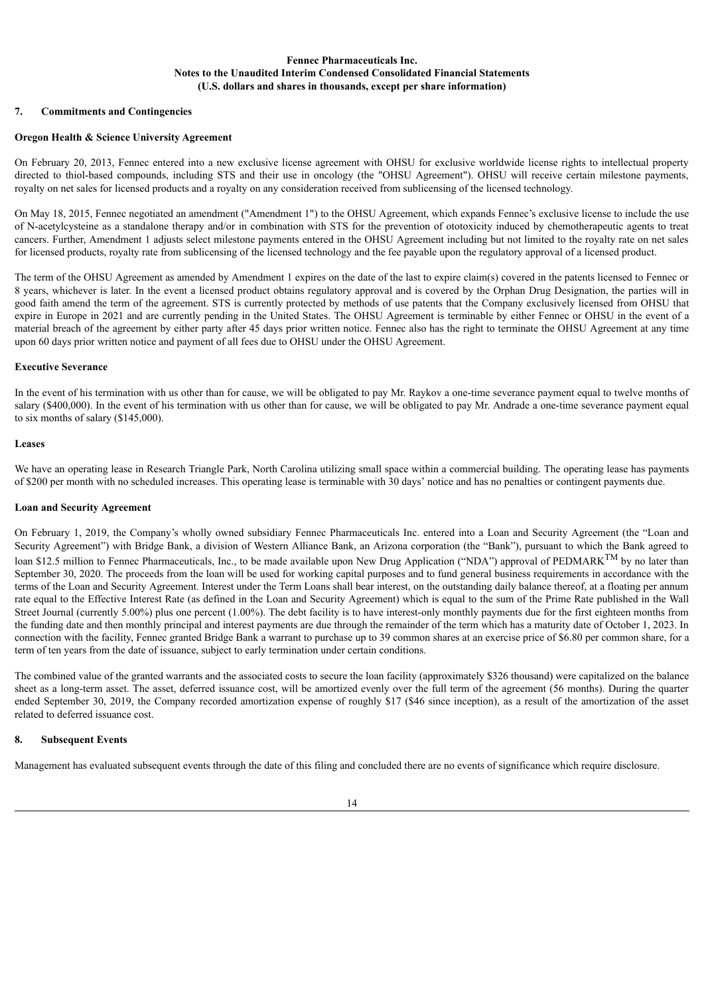# **7. Commitments and Contingencies**

## **Oregon Health & Science University Agreement**

On February 20, 2013, Fennec entered into a new exclusive license agreement with OHSU for exclusive worldwide license rights to intellectual property directed to thiol-based compounds, including STS and their use in oncology (the "OHSU Agreement"). OHSU will receive certain milestone payments, royalty on net sales for licensed products and a royalty on any consideration received from sublicensing of the licensed technology.

On May 18, 2015, Fennec negotiated an amendment ("Amendment 1") to the OHSU Agreement, which expands Fennec's exclusive license to include the use of N-acetylcysteine as a standalone therapy and/or in combination with STS for the prevention of ototoxicity induced by chemotherapeutic agents to treat cancers. Further, Amendment 1 adjusts select milestone payments entered in the OHSU Agreement including but not limited to the royalty rate on net sales for licensed products, royalty rate from sublicensing of the licensed technology and the fee payable upon the regulatory approval of a licensed product.

The term of the OHSU Agreement as amended by Amendment 1 expires on the date of the last to expire claim(s) covered in the patents licensed to Fennec or 8 years, whichever is later. In the event a licensed product obtains regulatory approval and is covered by the Orphan Drug Designation, the parties will in good faith amend the term of the agreement. STS is currently protected by methods of use patents that the Company exclusively licensed from OHSU that expire in Europe in 2021 and are currently pending in the United States. The OHSU Agreement is terminable by either Fennec or OHSU in the event of a material breach of the agreement by either party after 45 days prior written notice. Fennec also has the right to terminate the OHSU Agreement at any time upon 60 days prior written notice and payment of all fees due to OHSU under the OHSU Agreement.

#### **Executive Severance**

In the event of his termination with us other than for cause, we will be obligated to pay Mr. Raykov a one-time severance payment equal to twelve months of salary (\$400,000). In the event of his termination with us other than for cause, we will be obligated to pay Mr. Andrade a one-time severance payment equal to six months of salary (\$145,000).

#### **Leases**

We have an operating lease in Research Triangle Park, North Carolina utilizing small space within a commercial building. The operating lease has payments of \$200 per month with no scheduled increases. This operating lease is terminable with 30 days' notice and has no penalties or contingent payments due.

#### **Loan and Security Agreement**

On February 1, 2019, the Company's wholly owned subsidiary Fennec Pharmaceuticals Inc. entered into a Loan and Security Agreement (the "Loan and Security Agreement") with Bridge Bank, a division of Western Alliance Bank, an Arizona corporation (the "Bank"), pursuant to which the Bank agreed to loan \$12.5 million to Fennec Pharmaceuticals, Inc., to be made available upon New Drug Application ("NDA") approval of PEDMARK<sup>TM</sup> by no later than September 30, 2020. The proceeds from the loan will be used for working capital purposes and to fund general business requirements in accordance with the terms of the Loan and Security Agreement. Interest under the Term Loans shall bear interest, on the outstanding daily balance thereof, at a floating per annum rate equal to the Effective Interest Rate (as defined in the Loan and Security Agreement) which is equal to the sum of the Prime Rate published in the Wall Street Journal (currently 5.00%) plus one percent (1.00%). The debt facility is to have interest-only monthly payments due for the first eighteen months from the funding date and then monthly principal and interest payments are due through the remainder of the term which has a maturity date of October 1, 2023. In connection with the facility, Fennec granted Bridge Bank a warrant to purchase up to 39 common shares at an exercise price of \$6.80 per common share, for a term of ten years from the date of issuance, subject to early termination under certain conditions.

The combined value of the granted warrants and the associated costs to secure the loan facility (approximately \$326 thousand) were capitalized on the balance sheet as a long-term asset. The asset, deferred issuance cost, will be amortized evenly over the full term of the agreement (56 months). During the quarter ended September 30, 2019, the Company recorded amortization expense of roughly \$17 (\$46 since inception), as a result of the amortization of the asset related to deferred issuance cost.

#### **8. Subsequent Events**

Management has evaluated subsequent events through the date of this filing and concluded there are no events of significance which require disclosure.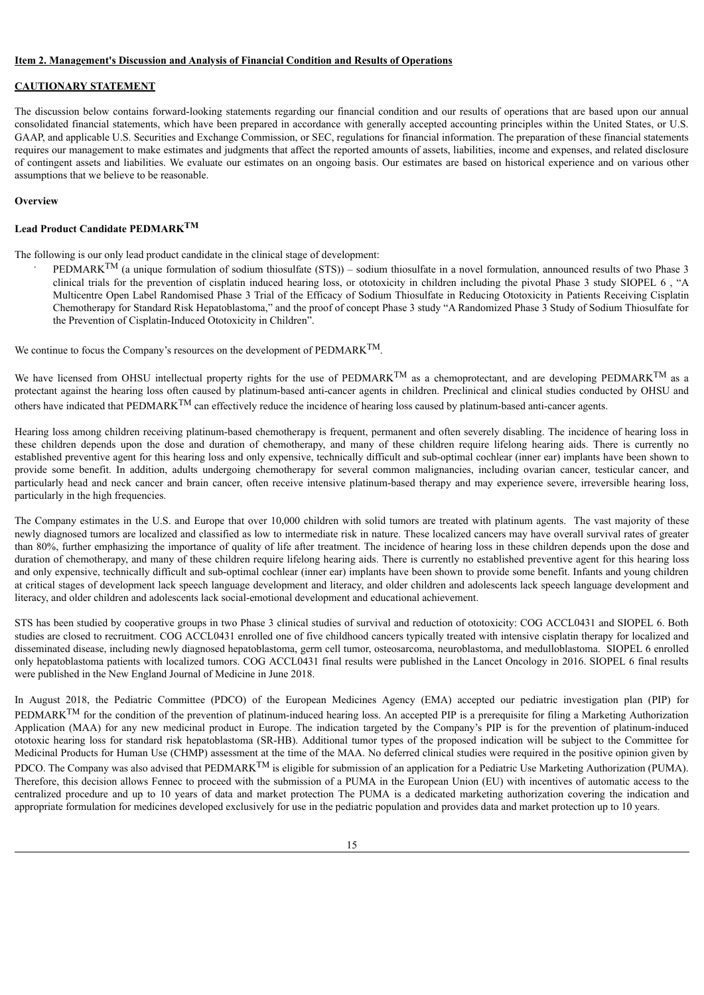## <span id="page-14-0"></span>**Item 2. Management's Discussion and Analysis of Financial Condition and Results of Operations**

# **CAUTIONARY STATEMENT**

The discussion below contains forward-looking statements regarding our financial condition and our results of operations that are based upon our annual consolidated financial statements, which have been prepared in accordance with generally accepted accounting principles within the United States, or U.S. GAAP, and applicable U.S. Securities and Exchange Commission, or SEC, regulations for financial information. The preparation of these financial statements requires our management to make estimates and judgments that affect the reported amounts of assets, liabilities, income and expenses, and related disclosure of contingent assets and liabilities. We evaluate our estimates on an ongoing basis. Our estimates are based on historical experience and on various other assumptions that we believe to be reasonable.

## **Overview**

# **Lead Product Candidate PEDMARKTM**

The following is our only lead product candidate in the clinical stage of development:

**PEDMARK**<sup>TM</sup> (a unique formulation of sodium thiosulfate (STS)) – sodium thiosulfate in a novel formulation, announced results of two Phase 3 clinical trials for the prevention of cisplatin induced hearing loss, or ototoxicity in children including the pivotal Phase 3 study SIOPEL 6 , "A Multicentre Open Label Randomised Phase 3 Trial of the Efficacy of Sodium Thiosulfate in Reducing Ototoxicity in Patients Receiving Cisplatin Chemotherapy for Standard Risk Hepatoblastoma," and the proof of concept Phase 3 study "A Randomized Phase 3 Study of Sodium Thiosulfate for the Prevention of Cisplatin-Induced Ototoxicity in Children".

We continue to focus the Company's resources on the development of  $PEDMARK^{TM}$ .

We have licensed from OHSU intellectual property rights for the use of PEDMARK<sup>TM</sup> as a chemoprotectant, and are developing PEDMARK<sup>TM</sup> as a protectant against the hearing loss often caused by platinum-based anti-cancer agents in children. Preclinical and clinical studies conducted by OHSU and others have indicated that PEDMARK<sup>TM</sup> can effectively reduce the incidence of hearing loss caused by platinum-based anti-cancer agents.

Hearing loss among children receiving platinum-based chemotherapy is frequent, permanent and often severely disabling. The incidence of hearing loss in these children depends upon the dose and duration of chemotherapy, and many of these children require lifelong hearing aids. There is currently no established preventive agent for this hearing loss and only expensive, technically difficult and sub-optimal cochlear (inner ear) implants have been shown to provide some benefit. In addition, adults undergoing chemotherapy for several common malignancies, including ovarian cancer, testicular cancer, and particularly head and neck cancer and brain cancer, often receive intensive platinum-based therapy and may experience severe, irreversible hearing loss, particularly in the high frequencies.

The Company estimates in the U.S. and Europe that over 10,000 children with solid tumors are treated with platinum agents. The vast majority of these newly diagnosed tumors are localized and classified as low to intermediate risk in nature. These localized cancers may have overall survival rates of greater than 80%, further emphasizing the importance of quality of life after treatment. The incidence of hearing loss in these children depends upon the dose and duration of chemotherapy, and many of these children require lifelong hearing aids. There is currently no established preventive agent for this hearing loss and only expensive, technically difficult and sub-optimal cochlear (inner ear) implants have been shown to provide some benefit. Infants and young children at critical stages of development lack speech language development and literacy, and older children and adolescents lack speech language development and literacy, and older children and adolescents lack social-emotional development and educational achievement.

STS has been studied by cooperative groups in two Phase 3 clinical studies of survival and reduction of ototoxicity: COG ACCL0431 and SIOPEL 6. Both studies are closed to recruitment. COG ACCL0431 enrolled one of five childhood cancers typically treated with intensive cisplatin therapy for localized and disseminated disease, including newly diagnosed hepatoblastoma, germ cell tumor, osteosarcoma, neuroblastoma, and medulloblastoma. SIOPEL 6 enrolled only hepatoblastoma patients with localized tumors. COG ACCL0431 final results were published in the Lancet Oncology in 2016. SIOPEL 6 final results were published in the New England Journal of Medicine in June 2018.

In August 2018, the Pediatric Committee (PDCO) of the European Medicines Agency (EMA) accepted our pediatric investigation plan (PIP) for  $PEDMARK^{TM}$  for the condition of the prevention of platinum-induced hearing loss. An accepted PIP is a prerequisite for filing a Marketing Authorization Application (MAA) for any new medicinal product in Europe. The indication targeted by the Company's PIP is for the prevention of platinum-induced ototoxic hearing loss for standard risk hepatoblastoma (SR-HB). Additional tumor types of the proposed indication will be subject to the Committee for Medicinal Products for Human Use (CHMP) assessment at the time of the MAA. No deferred clinical studies were required in the positive opinion given by PDCO. The Company was also advised that PEDMARK<sup>TM</sup> is eligible for submission of an application for a Pediatric Use Marketing Authorization (PUMA). Therefore, this decision allows Fennec to proceed with the submission of a PUMA in the European Union (EU) with incentives of automatic access to the centralized procedure and up to 10 years of data and market protection The PUMA is a dedicated marketing authorization covering the indication and appropriate formulation for medicines developed exclusively for use in the pediatric population and provides data and market protection up to 10 years.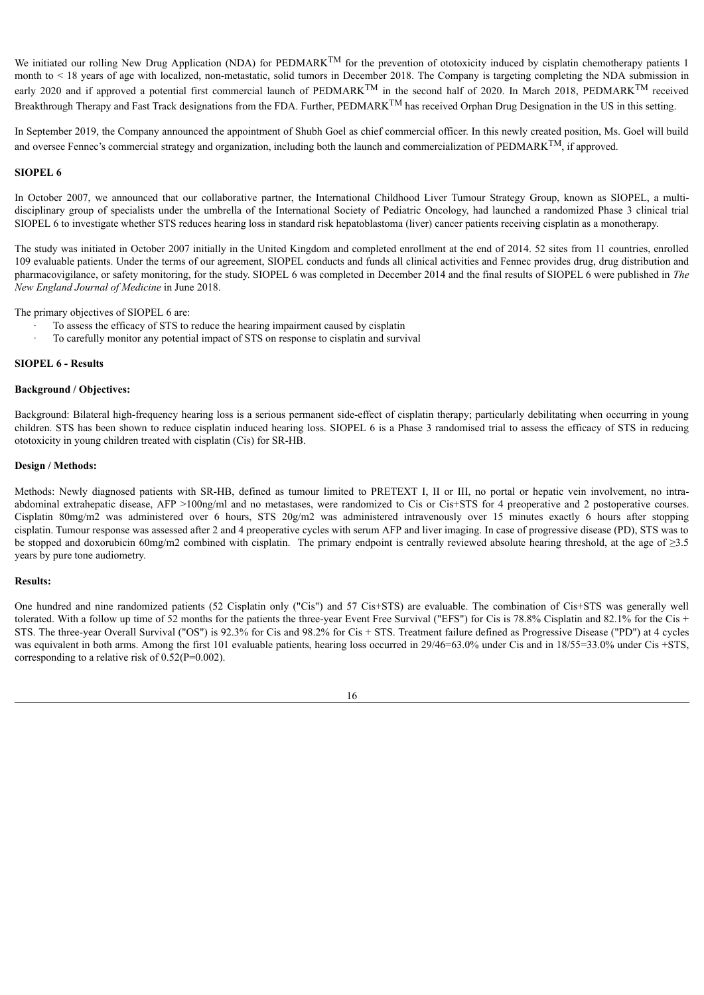We initiated our rolling New Drug Application (NDA) for PEDMARK<sup>TM</sup> for the prevention of ototoxicity induced by cisplatin chemotherapy patients 1 month to < 18 years of age with localized, non-metastatic, solid tumors in December 2018. The Company is targeting completing the NDA submission in early 2020 and if approved a potential first commercial launch of PEDMARK<sup>TM</sup> in the second half of 2020. In March 2018, PEDMARK<sup>TM</sup> received Breakthrough Therapy and Fast Track designations from the FDA. Further, PEDMARK<sup>TM</sup> has received Orphan Drug Designation in the US in this setting.

In September 2019, the Company announced the appointment of Shubh Goel as chief commercial officer. In this newly created position, Ms. Goel will build and oversee Fennec's commercial strategy and organization, including both the launch and commercialization of PEDMARK<sup>TM</sup>, if approved.

## **SIOPEL 6**

In October 2007, we announced that our collaborative partner, the International Childhood Liver Tumour Strategy Group, known as SIOPEL, a multidisciplinary group of specialists under the umbrella of the International Society of Pediatric Oncology, had launched a randomized Phase 3 clinical trial SIOPEL 6 to investigate whether STS reduces hearing loss in standard risk hepatoblastoma (liver) cancer patients receiving cisplatin as a monotherapy.

The study was initiated in October 2007 initially in the United Kingdom and completed enrollment at the end of 2014. 52 sites from 11 countries, enrolled 109 evaluable patients. Under the terms of our agreement, SIOPEL conducts and funds all clinical activities and Fennec provides drug, drug distribution and pharmacovigilance, or safety monitoring, for the study. SIOPEL 6 was completed in December 2014 and the final results of SIOPEL 6 were published in *The New England Journal of Medicine* in June 2018.

The primary objectives of SIOPEL 6 are:

- · To assess the efficacy of STS to reduce the hearing impairment caused by cisplatin
- · To carefully monitor any potential impact of STS on response to cisplatin and survival

#### **SIOPEL 6 - Results**

#### **Background / Objectives:**

Background: Bilateral high-frequency hearing loss is a serious permanent side-effect of cisplatin therapy; particularly debilitating when occurring in young children. STS has been shown to reduce cisplatin induced hearing loss. SIOPEL 6 is a Phase 3 randomised trial to assess the efficacy of STS in reducing ototoxicity in young children treated with cisplatin (Cis) for SR-HB.

#### **Design / Methods:**

Methods: Newly diagnosed patients with SR-HB, defined as tumour limited to PRETEXT I, II or III, no portal or hepatic vein involvement, no intraabdominal extrahepatic disease, AFP >100ng/ml and no metastases, were randomized to Cis or Cis+STS for 4 preoperative and 2 postoperative courses. Cisplatin 80mg/m2 was administered over 6 hours, STS 20g/m2 was administered intravenously over 15 minutes exactly 6 hours after stopping cisplatin. Tumour response was assessed after 2 and 4 preoperative cycles with serum AFP and liver imaging. In case of progressive disease (PD), STS was to be stopped and doxorubicin 60mg/m2 combined with cisplatin. The primary endpoint is centrally reviewed absolute hearing threshold, at the age of  $\geq$ 3.5 years by pure tone audiometry.

#### **Results:**

One hundred and nine randomized patients (52 Cisplatin only ("Cis") and 57 Cis+STS) are evaluable. The combination of Cis+STS was generally well tolerated. With a follow up time of 52 months for the patients the three-year Event Free Survival ("EFS") for Cis is 78.8% Cisplatin and 82.1% for the Cis + STS. The three-year Overall Survival ("OS") is 92.3% for Cis and 98.2% for Cis + STS. Treatment failure defined as Progressive Disease ("PD") at 4 cycles was equivalent in both arms. Among the first 101 evaluable patients, hearing loss occurred in 29/46=63.0% under Cis and in 18/55=33.0% under Cis +STS, corresponding to a relative risk of 0.52(P=0.002).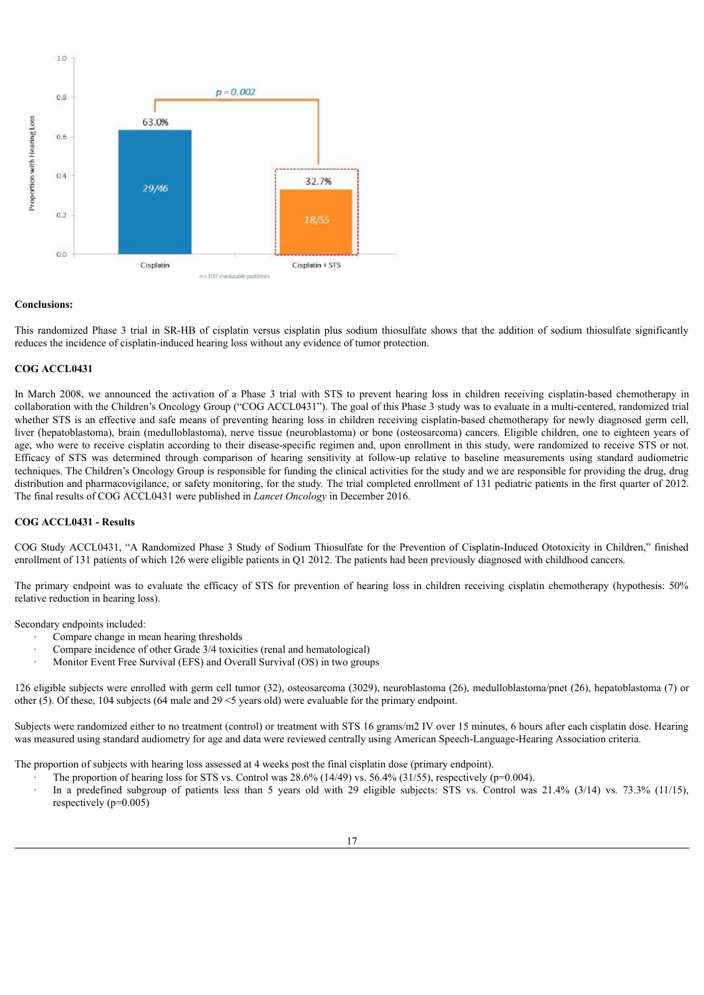

# **Conclusions:**

This randomized Phase 3 trial in SR-HB of cisplatin versus cisplatin plus sodium thiosulfate shows that the addition of sodium thiosulfate significantly reduces the incidence of cisplatin-induced hearing loss without any evidence of tumor protection.

## **COG ACCL0431**

In March 2008, we announced the activation of a Phase 3 trial with STS to prevent hearing loss in children receiving cisplatin-based chemotherapy in collaboration with the Children's Oncology Group ("COG ACCL0431"). The goal of this Phase 3 study was to evaluate in a multi-centered, randomized trial whether STS is an effective and safe means of preventing hearing loss in children receiving cisplatin-based chemotherapy for newly diagnosed germ cell, liver (hepatoblastoma), brain (medulloblastoma), nerve tissue (neuroblastoma) or bone (osteosarcoma) cancers. Eligible children, one to eighteen years of age, who were to receive cisplatin according to their disease-specific regimen and, upon enrollment in this study, were randomized to receive STS or not. Efficacy of STS was determined through comparison of hearing sensitivity at follow-up relative to baseline measurements using standard audiometric techniques. The Children's Oncology Group is responsible for funding the clinical activities for the study and we are responsible for providing the drug, drug distribution and pharmacovigilance, or safety monitoring, for the study. The trial completed enrollment of 131 pediatric patients in the first quarter of 2012. The final results of COG ACCL0431 were published in *Lancet Oncology* in December 2016.

## **COG ACCL0431 - Results**

COG Study ACCL0431, "A Randomized Phase 3 Study of Sodium Thiosulfate for the Prevention of Cisplatin-Induced Ototoxicity in Children," finished enrollment of 131 patients of which 126 were eligible patients in Q1 2012. The patients had been previously diagnosed with childhood cancers.

The primary endpoint was to evaluate the efficacy of STS for prevention of hearing loss in children receiving cisplatin chemotherapy (hypothesis: 50% relative reduction in hearing loss).

Secondary endpoints included:

- Compare change in mean hearing thresholds
- Compare incidence of other Grade 3/4 toxicities (renal and hematological)
- Monitor Event Free Survival (EFS) and Overall Survival (OS) in two groups

126 eligible subjects were enrolled with germ cell tumor (32), osteosarcoma (3029), neuroblastoma (26), medulloblastoma/pnet (26), hepatoblastoma (7) or other (5). Of these, 104 subjects (64 male and 29 <5 years old) were evaluable for the primary endpoint.

Subjects were randomized either to no treatment (control) or treatment with STS 16 grams/m2 IV over 15 minutes, 6 hours after each cisplatin dose. Hearing was measured using standard audiometry for age and data were reviewed centrally using American Speech-Language-Hearing Association criteria.

The proportion of subjects with hearing loss assessed at 4 weeks post the final cisplatin dose (primary endpoint).

- The proportion of hearing loss for STS vs. Control was  $28.6\%$  (14/49) vs. 56.4% (31/55), respectively (p=0.004).
- · In a predefined subgroup of patients less than 5 years old with 29 eligible subjects: STS vs. Control was 21.4% (3/14) vs. 73.3% (11/15), respectively (p=0.005)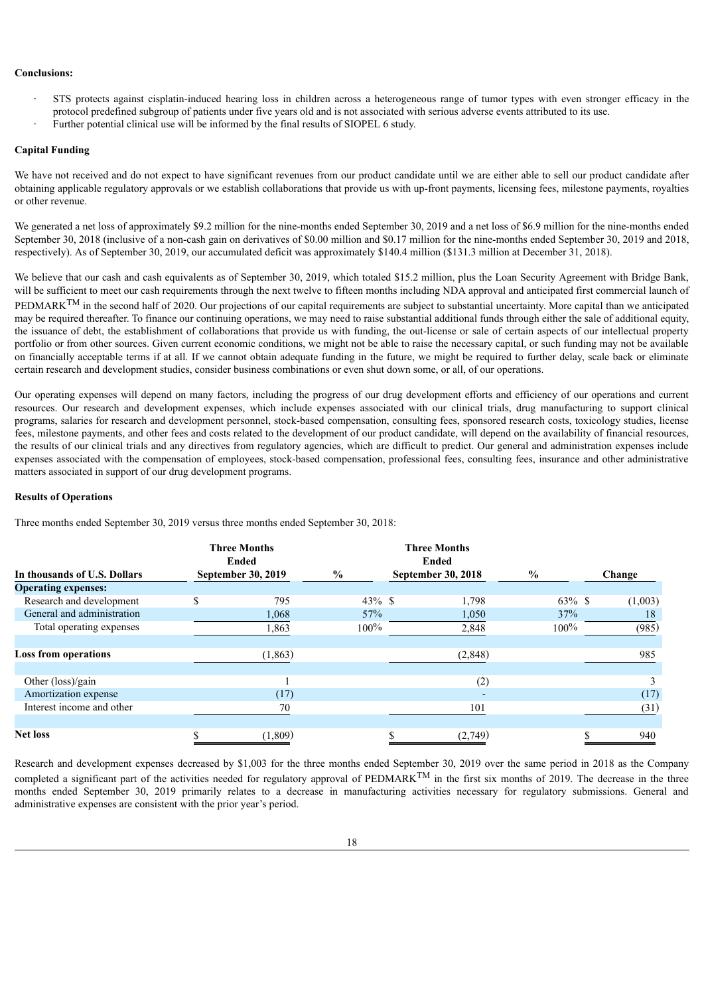#### **Conclusions:**

- STS protects against cisplatin-induced hearing loss in children across a heterogeneous range of tumor types with even stronger efficacy in the protocol predefined subgroup of patients under five years old and is not associated with serious adverse events attributed to its use.
- Further potential clinical use will be informed by the final results of SIOPEL 6 study.

#### **Capital Funding**

We have not received and do not expect to have significant revenues from our product candidate until we are either able to sell our product candidate after obtaining applicable regulatory approvals or we establish collaborations that provide us with up-front payments, licensing fees, milestone payments, royalties or other revenue.

We generated a net loss of approximately \$9.2 million for the nine-months ended September 30, 2019 and a net loss of \$6.9 million for the nine-months ended September 30, 2018 (inclusive of a non-cash gain on derivatives of \$0.00 million and \$0.17 million for the nine-months ended September 30, 2019 and 2018, respectively). As of September 30, 2019, our accumulated deficit was approximately \$140.4 million (\$131.3 million at December 31, 2018).

We believe that our cash and cash equivalents as of September 30, 2019, which totaled \$15.2 million, plus the Loan Security Agreement with Bridge Bank, will be sufficient to meet our cash requirements through the next twelve to fifteen months including NDA approval and anticipated first commercial launch of PEDMARK<sup>TM</sup> in the second half of 2020. Our projections of our capital requirements are subject to substantial uncertainty. More capital than we anticipated may be required thereafter. To finance our continuing operations, we may need to raise substantial additional funds through either the sale of additional equity, the issuance of debt, the establishment of collaborations that provide us with funding, the out-license or sale of certain aspects of our intellectual property portfolio or from other sources. Given current economic conditions, we might not be able to raise the necessary capital, or such funding may not be available on financially acceptable terms if at all. If we cannot obtain adequate funding in the future, we might be required to further delay, scale back or eliminate certain research and development studies, consider business combinations or even shut down some, or all, of our operations.

Our operating expenses will depend on many factors, including the progress of our drug development efforts and efficiency of our operations and current resources. Our research and development expenses, which include expenses associated with our clinical trials, drug manufacturing to support clinical programs, salaries for research and development personnel, stock-based compensation, consulting fees, sponsored research costs, toxicology studies, license fees, milestone payments, and other fees and costs related to the development of our product candidate, will depend on the availability of financial resources, the results of our clinical trials and any directives from regulatory agencies, which are difficult to predict. Our general and administration expenses include expenses associated with the compensation of employees, stock-based compensation, professional fees, consulting fees, insurance and other administrative matters associated in support of our drug development programs.

#### **Results of Operations**

Three months ended September 30, 2019 versus three months ended September 30, 2018:

|                              |    | <b>Three Months</b><br>Ended | <b>Three Months</b><br><b>Ended</b> |                    |                          |         |
|------------------------------|----|------------------------------|-------------------------------------|--------------------|--------------------------|---------|
| In thousands of U.S. Dollars |    | <b>September 30, 2019</b>    | $\frac{0}{0}$                       | September 30, 2018 | $\frac{1}{2}$            | Change  |
| <b>Operating expenses:</b>   |    |                              |                                     |                    |                          |         |
| Research and development     | .Ъ | 795                          | $43\%$ \$                           | 1,798              | $63\%$ \$                | (1,003) |
| General and administration   |    | 1,068                        | 57%                                 | 1,050              | 37%                      | 18      |
| Total operating expenses     |    | 1,863                        | $100\%$                             | 2,848              | $100\%$                  | (985)   |
| <b>Loss from operations</b>  |    | (1, 863)                     |                                     | (2,848)            |                          | 985     |
| Other (loss)/gain            |    |                              |                                     |                    | (2)                      | 3       |
| Amortization expense         |    | (17)                         |                                     |                    | $\overline{\phantom{a}}$ | (17)    |
| Interest income and other    |    | 70                           |                                     | 101                |                          | (31)    |
| <b>Net loss</b>              |    | (1,809)                      |                                     | (2,749)            |                          | 940     |

Research and development expenses decreased by \$1,003 for the three months ended September 30, 2019 over the same period in 2018 as the Company completed a significant part of the activities needed for regulatory approval of PEDMARK<sup>TM</sup> in the first six months of 2019. The decrease in the three months ended September 30, 2019 primarily relates to a decrease in manufacturing activities necessary for regulatory submissions. General and administrative expenses are consistent with the prior year's period.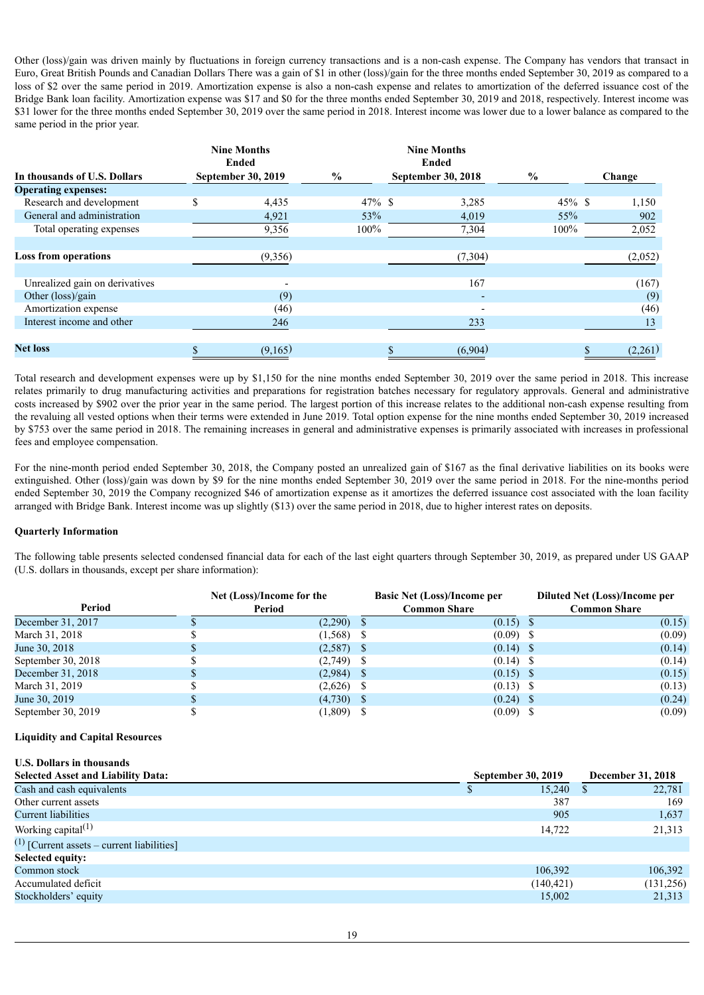Other (loss)/gain was driven mainly by fluctuations in foreign currency transactions and is a non-cash expense. The Company has vendors that transact in Euro, Great British Pounds and Canadian Dollars There was a gain of \$1 in other (loss)/gain for the three months ended September 30, 2019 as compared to a loss of \$2 over the same period in 2019. Amortization expense is also a non-cash expense and relates to amortization of the deferred issuance cost of the Bridge Bank loan facility. Amortization expense was \$17 and \$0 for the three months ended September 30, 2019 and 2018, respectively. Interest income was \$31 lower for the three months ended September 30, 2019 over the same period in 2018. Interest income was lower due to a lower balance as compared to the same period in the prior year.

|                                | <b>Nine Months</b><br><b>Ended</b> | <b>Nine Months</b><br><b>Ended</b> |        |                          |           |               |  |  |  |
|--------------------------------|------------------------------------|------------------------------------|--------|--------------------------|-----------|---------------|--|--|--|
| In thousands of U.S. Dollars   | <b>September 30, 2019</b>          | $\frac{0}{0}$                      |        | September 30, 2018       | $\%$      | Change        |  |  |  |
| <b>Operating expenses:</b>     |                                    |                                    |        |                          |           |               |  |  |  |
| Research and development       | 4,435                              | $47\%$ \$                          |        | 3,285                    | $45\%$ \$ | 1,150         |  |  |  |
| General and administration     | 4,921                              | 53%                                |        | 4,019                    | 55%       | 902           |  |  |  |
| Total operating expenses       | 9,356                              | $100\%$                            |        | 7,304                    | $100\%$   | 2,052         |  |  |  |
| <b>Loss from operations</b>    | (9,356)                            |                                    |        | (7,304)                  |           | (2,052)       |  |  |  |
|                                |                                    |                                    |        |                          |           |               |  |  |  |
| Unrealized gain on derivatives | $\overline{\phantom{0}}$           |                                    |        | 167                      |           | (167)         |  |  |  |
| Other (loss)/gain              | (9)                                |                                    |        |                          |           | (9)           |  |  |  |
| Amortization expense           | (46)                               |                                    |        | $\overline{\phantom{a}}$ |           | (46)          |  |  |  |
| Interest income and other      | 246                                |                                    |        | 233                      |           | 13            |  |  |  |
| <b>Net loss</b>                | (9,165)                            |                                    | Φ<br>ъ | (6,904)                  |           | \$<br>(2,261) |  |  |  |

Total research and development expenses were up by \$1,150 for the nine months ended September 30, 2019 over the same period in 2018. This increase relates primarily to drug manufacturing activities and preparations for registration batches necessary for regulatory approvals. General and administrative costs increased by \$902 over the prior year in the same period. The largest portion of this increase relates to the additional non-cash expense resulting from the revaluing all vested options when their terms were extended in June 2019. Total option expense for the nine months ended September 30, 2019 increased by \$753 over the same period in 2018. The remaining increases in general and administrative expenses is primarily associated with increases in professional fees and employee compensation.

For the nine-month period ended September 30, 2018, the Company posted an unrealized gain of \$167 as the final derivative liabilities on its books were extinguished. Other (loss)/gain was down by \$9 for the nine months ended September 30, 2019 over the same period in 2018. For the nine-months period ended September 30, 2019 the Company recognized \$46 of amortization expense as it amortizes the deferred issuance cost associated with the loan facility arranged with Bridge Bank. Interest income was up slightly (\$13) over the same period in 2018, due to higher interest rates on deposits.

# **Quarterly Information**

The following table presents selected condensed financial data for each of the last eight quarters through September 30, 2019, as prepared under US GAAP (U.S. dollars in thousands, except per share information):

| Period             | Net (Loss)/Income for the<br>Period |              | <b>Basic Net (Loss)/Income per</b><br><b>Common Share</b> | Diluted Net (Loss)/Income per<br><b>Common Share</b> |        |  |
|--------------------|-------------------------------------|--------------|-----------------------------------------------------------|------------------------------------------------------|--------|--|
| December 31, 2017  |                                     | $(2,290)$ \$ | $(0.15)$ \$                                               |                                                      | (0.15) |  |
| March 31, 2018     |                                     | $(1,568)$ \$ | $(0.09)$ \$                                               |                                                      | (0.09) |  |
| June 30, 2018      |                                     | $(2,587)$ \$ | $(0.14)$ \$                                               |                                                      | (0.14) |  |
| September 30, 2018 |                                     | $(2,749)$ \$ | $(0.14)$ \$                                               |                                                      | (0.14) |  |
| December 31, 2018  |                                     | $(2,984)$ \$ | $(0.15)$ \$                                               |                                                      | (0.15) |  |
| March 31, 2019     |                                     | $(2,626)$ \$ | $(0.13)$ \$                                               |                                                      | (0.13) |  |
| June 30, 2019      |                                     | $(4,730)$ \$ | $(0.24)$ \$                                               |                                                      | (0.24) |  |
| September 30, 2019 |                                     | $(1,809)$ \$ | $(0.09)$ \$                                               |                                                      | (0.09) |  |

# **Liquidity and Capital Resources**

| <b>U.S. Dollars in thousands</b>             |                           |                          |
|----------------------------------------------|---------------------------|--------------------------|
| <b>Selected Asset and Liability Data:</b>    | <b>September 30, 2019</b> | <b>December 31, 2018</b> |
| Cash and cash equivalents                    | 15,240                    | 22,781                   |
| Other current assets                         | 387                       | 169                      |
| Current liabilities                          | 905                       | 1,637                    |
| Working capital $(1)$                        | 14,722                    | 21,313                   |
| $(1)$ [Current assets – current liabilities] |                           |                          |
| <b>Selected equity:</b>                      |                           |                          |
| Common stock                                 | 106.392                   | 106,392                  |
| Accumulated deficit                          | (140, 421)                | (131,256)                |
| Stockholders' equity                         | 15,002                    | 21,313                   |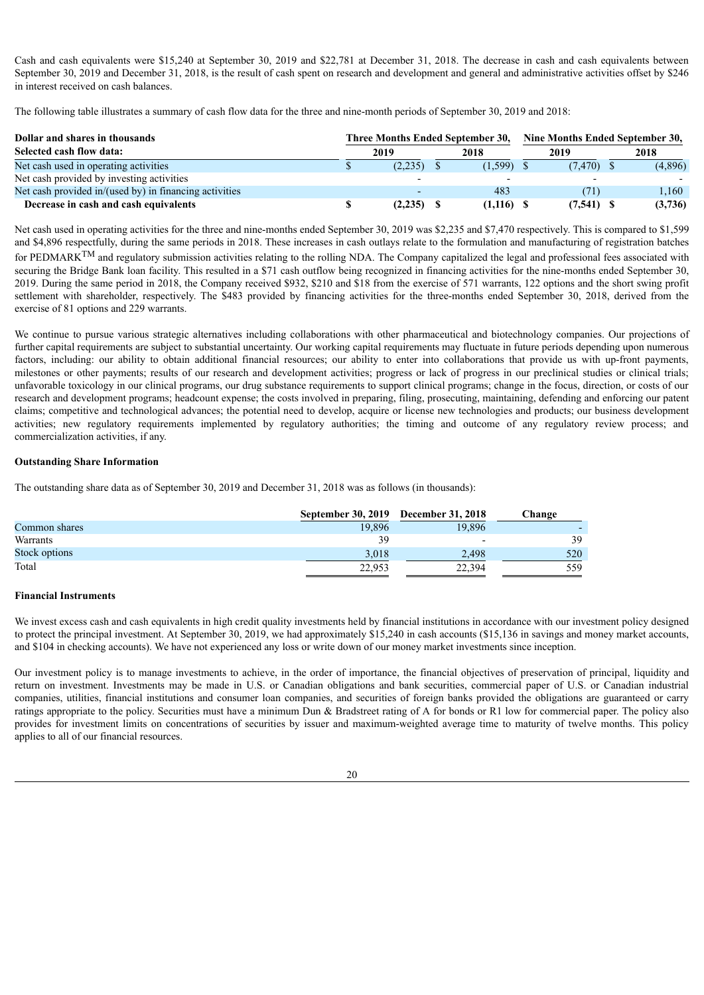Cash and cash equivalents were \$15,240 at September 30, 2019 and \$22,781 at December 31, 2018. The decrease in cash and cash equivalents between September 30, 2019 and December 31, 2018, is the result of cash spent on research and development and general and administrative activities offset by \$246 in interest received on cash balances.

The following table illustrates a summary of cash flow data for the three and nine-month periods of September 30, 2019 and 2018:

| <b>Dollar and shares in thousands</b>                  | Three Months Ended September 30, |         |  |              | Nine Months Ended September 30, |                          |  |         |
|--------------------------------------------------------|----------------------------------|---------|--|--------------|---------------------------------|--------------------------|--|---------|
| Selected cash flow data:                               |                                  | 2019    |  | 2018         |                                 | 2019                     |  | 2018    |
| Net cash used in operating activities                  |                                  | (2.235) |  | $(1.599)$ \$ |                                 | $(7.470)$ \$             |  | (4,896) |
| Net cash provided by investing activities              |                                  |         |  |              |                                 | $\overline{\phantom{0}}$ |  |         |
| Net cash provided in/(used by) in financing activities |                                  |         |  | 483          |                                 | (71)                     |  | 1.160   |
| Decrease in cash and cash equivalents                  |                                  | (2,235) |  | $(1,116)$ \$ |                                 | $(7,541)$ \$             |  | (3,736) |

Net cash used in operating activities for the three and nine-months ended September 30, 2019 was \$2,235 and \$7,470 respectively. This is compared to \$1,599 and \$4,896 respectfully, during the same periods in 2018. These increases in cash outlays relate to the formulation and manufacturing of registration batches for PEDMARK<sup>TM</sup> and regulatory submission activities relating to the rolling NDA. The Company capitalized the legal and professional fees associated with securing the Bridge Bank loan facility. This resulted in a \$71 cash outflow being recognized in financing activities for the nine-months ended September 30, 2019. During the same period in 2018, the Company received \$932, \$210 and \$18 from the exercise of 571 warrants, 122 options and the short swing profit settlement with shareholder, respectively. The \$483 provided by financing activities for the three-months ended September 30, 2018, derived from the exercise of 81 options and 229 warrants.

We continue to pursue various strategic alternatives including collaborations with other pharmaceutical and biotechnology companies. Our projections of further capital requirements are subject to substantial uncertainty. Our working capital requirements may fluctuate in future periods depending upon numerous factors, including: our ability to obtain additional financial resources; our ability to enter into collaborations that provide us with up-front payments, milestones or other payments; results of our research and development activities; progress or lack of progress in our preclinical studies or clinical trials; unfavorable toxicology in our clinical programs, our drug substance requirements to support clinical programs; change in the focus, direction, or costs of our research and development programs; headcount expense; the costs involved in preparing, filing, prosecuting, maintaining, defending and enforcing our patent claims; competitive and technological advances; the potential need to develop, acquire or license new technologies and products; our business development activities; new regulatory requirements implemented by regulatory authorities; the timing and outcome of any regulatory review process; and commercialization activities, if any.

# **Outstanding Share Information**

The outstanding share data as of September 30, 2019 and December 31, 2018 was as follows (in thousands):

|               | September 30, 2019 December 31, 2018 |                          | Change |
|---------------|--------------------------------------|--------------------------|--------|
| Common shares | 19,896                               | 19,896                   |        |
| Warrants      | 39                                   | $\overline{\phantom{0}}$ | 39     |
| Stock options | 3.018                                | 2.498                    | 520    |
| Total         | 22,953                               | 22,394                   | 559    |

# **Financial Instruments**

We invest excess cash and cash equivalents in high credit quality investments held by financial institutions in accordance with our investment policy designed to protect the principal investment. At September 30, 2019, we had approximately \$15,240 in cash accounts (\$15,136 in savings and money market accounts, and \$104 in checking accounts). We have not experienced any loss or write down of our money market investments since inception.

Our investment policy is to manage investments to achieve, in the order of importance, the financial objectives of preservation of principal, liquidity and return on investment. Investments may be made in U.S. or Canadian obligations and bank securities, commercial paper of U.S. or Canadian industrial companies, utilities, financial institutions and consumer loan companies, and securities of foreign banks provided the obligations are guaranteed or carry ratings appropriate to the policy. Securities must have a minimum Dun & Bradstreet rating of A for bonds or R1 low for commercial paper. The policy also provides for investment limits on concentrations of securities by issuer and maximum-weighted average time to maturity of twelve months. This policy applies to all of our financial resources.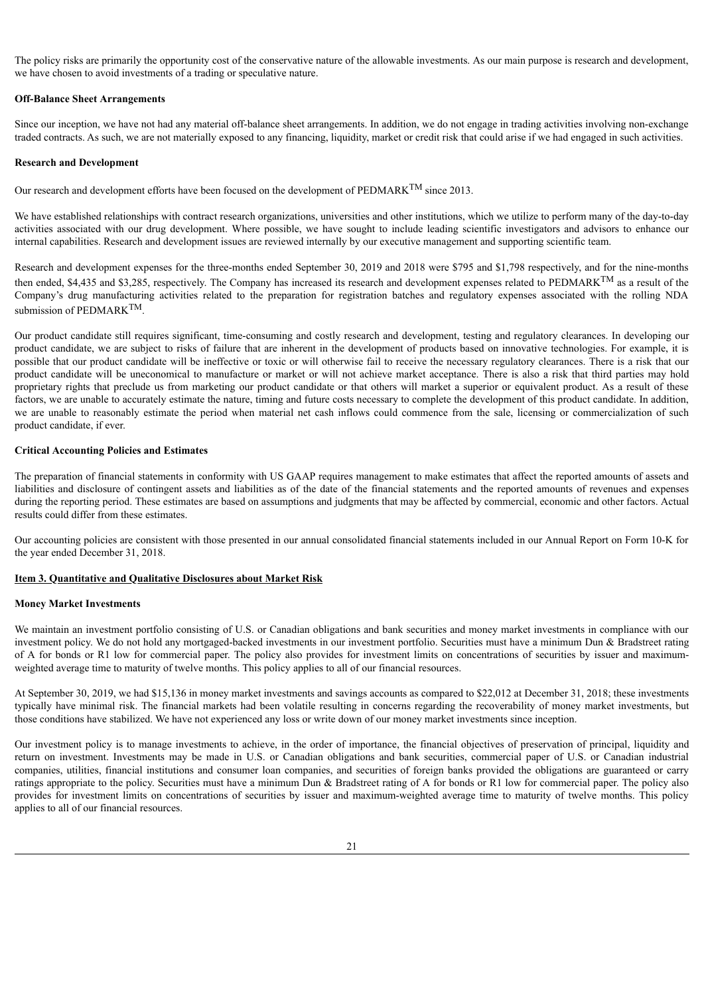The policy risks are primarily the opportunity cost of the conservative nature of the allowable investments. As our main purpose is research and development, we have chosen to avoid investments of a trading or speculative nature.

#### **Off-Balance Sheet Arrangements**

Since our inception, we have not had any material off-balance sheet arrangements. In addition, we do not engage in trading activities involving non-exchange traded contracts. As such, we are not materially exposed to any financing, liquidity, market or credit risk that could arise if we had engaged in such activities.

## **Research and Development**

Our research and development efforts have been focused on the development of PEDMARK<sup>TM</sup> since 2013.

We have established relationships with contract research organizations, universities and other institutions, which we utilize to perform many of the day-to-day activities associated with our drug development. Where possible, we have sought to include leading scientific investigators and advisors to enhance our internal capabilities. Research and development issues are reviewed internally by our executive management and supporting scientific team.

Research and development expenses for the three-months ended September 30, 2019 and 2018 were \$795 and \$1,798 respectively, and for the nine-months then ended, \$4,435 and \$3,285, respectively. The Company has increased its research and development expenses related to PEDMARK<sup>TM</sup> as a result of the Company's drug manufacturing activities related to the preparation for registration batches and regulatory expenses associated with the rolling NDA submission of PEDMARK<sup>TM</sup>.

Our product candidate still requires significant, time-consuming and costly research and development, testing and regulatory clearances. In developing our product candidate, we are subject to risks of failure that are inherent in the development of products based on innovative technologies. For example, it is possible that our product candidate will be ineffective or toxic or will otherwise fail to receive the necessary regulatory clearances. There is a risk that our product candidate will be uneconomical to manufacture or market or will not achieve market acceptance. There is also a risk that third parties may hold proprietary rights that preclude us from marketing our product candidate or that others will market a superior or equivalent product. As a result of these factors, we are unable to accurately estimate the nature, timing and future costs necessary to complete the development of this product candidate. In addition, we are unable to reasonably estimate the period when material net cash inflows could commence from the sale, licensing or commercialization of such product candidate, if ever.

## **Critical Accounting Policies and Estimates**

The preparation of financial statements in conformity with US GAAP requires management to make estimates that affect the reported amounts of assets and liabilities and disclosure of contingent assets and liabilities as of the date of the financial statements and the reported amounts of revenues and expenses during the reporting period. These estimates are based on assumptions and judgments that may be affected by commercial, economic and other factors. Actual results could differ from these estimates.

Our accounting policies are consistent with those presented in our annual consolidated financial statements included in our Annual Report on Form 10-K for the year ended December 31, 2018.

# <span id="page-20-0"></span>**Item 3. Quantitative and Qualitative Disclosures about Market Risk**

#### **Money Market Investments**

We maintain an investment portfolio consisting of U.S. or Canadian obligations and bank securities and money market investments in compliance with our investment policy. We do not hold any mortgaged-backed investments in our investment portfolio. Securities must have a minimum Dun & Bradstreet rating of A for bonds or R1 low for commercial paper. The policy also provides for investment limits on concentrations of securities by issuer and maximumweighted average time to maturity of twelve months. This policy applies to all of our financial resources.

At September 30, 2019, we had \$15,136 in money market investments and savings accounts as compared to \$22,012 at December 31, 2018; these investments typically have minimal risk. The financial markets had been volatile resulting in concerns regarding the recoverability of money market investments, but those conditions have stabilized. We have not experienced any loss or write down of our money market investments since inception.

Our investment policy is to manage investments to achieve, in the order of importance, the financial objectives of preservation of principal, liquidity and return on investment. Investments may be made in U.S. or Canadian obligations and bank securities, commercial paper of U.S. or Canadian industrial companies, utilities, financial institutions and consumer loan companies, and securities of foreign banks provided the obligations are guaranteed or carry ratings appropriate to the policy. Securities must have a minimum Dun & Bradstreet rating of A for bonds or R1 low for commercial paper. The policy also provides for investment limits on concentrations of securities by issuer and maximum-weighted average time to maturity of twelve months. This policy applies to all of our financial resources.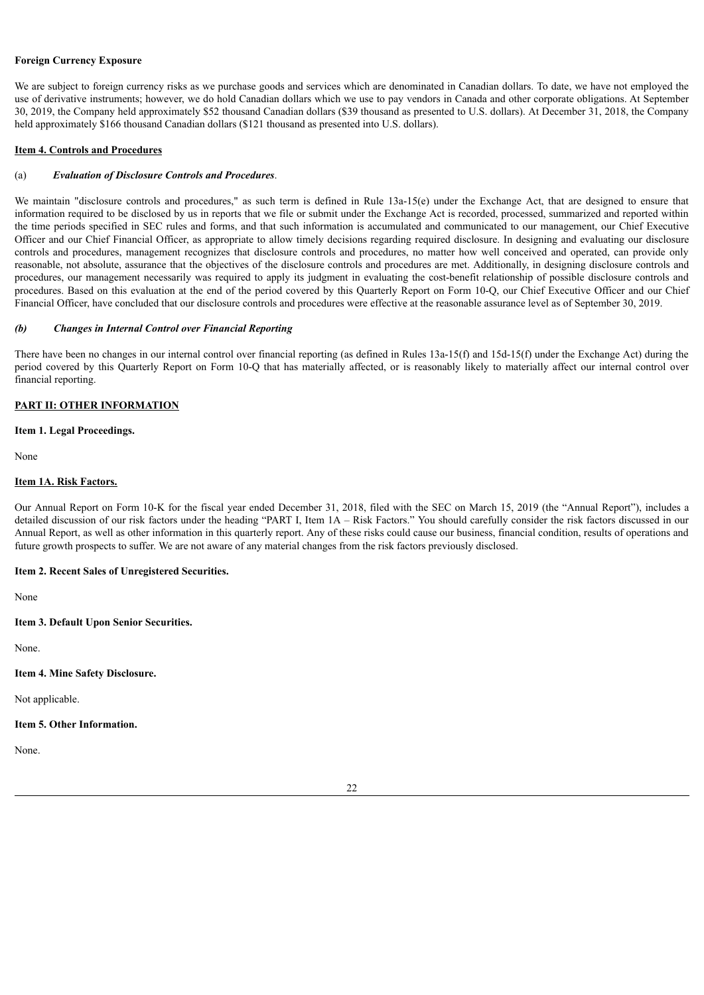# **Foreign Currency Exposure**

We are subject to foreign currency risks as we purchase goods and services which are denominated in Canadian dollars. To date, we have not employed the use of derivative instruments; however, we do hold Canadian dollars which we use to pay vendors in Canada and other corporate obligations. At September 30, 2019, the Company held approximately \$52 thousand Canadian dollars (\$39 thousand as presented to U.S. dollars). At December 31, 2018, the Company held approximately \$166 thousand Canadian dollars (\$121 thousand as presented into U.S. dollars).

## <span id="page-21-0"></span>**Item 4. Controls and Procedures**

#### (a) *Evaluation of Disclosure Controls and Procedures*.

We maintain "disclosure controls and procedures," as such term is defined in Rule 13a-15(e) under the Exchange Act, that are designed to ensure that information required to be disclosed by us in reports that we file or submit under the Exchange Act is recorded, processed, summarized and reported within the time periods specified in SEC rules and forms, and that such information is accumulated and communicated to our management, our Chief Executive Officer and our Chief Financial Officer, as appropriate to allow timely decisions regarding required disclosure. In designing and evaluating our disclosure controls and procedures, management recognizes that disclosure controls and procedures, no matter how well conceived and operated, can provide only reasonable, not absolute, assurance that the objectives of the disclosure controls and procedures are met. Additionally, in designing disclosure controls and procedures, our management necessarily was required to apply its judgment in evaluating the cost-benefit relationship of possible disclosure controls and procedures. Based on this evaluation at the end of the period covered by this Quarterly Report on Form 10-Q, our Chief Executive Officer and our Chief Financial Officer, have concluded that our disclosure controls and procedures were effective at the reasonable assurance level as of September 30, 2019.

#### *(b) Changes in Internal Control over Financial Reporting*

There have been no changes in our internal control over financial reporting (as defined in Rules 13a-15(f) and 15d-15(f) under the Exchange Act) during the period covered by this Quarterly Report on Form 10-Q that has materially affected, or is reasonably likely to materially affect our internal control over financial reporting.

#### <span id="page-21-1"></span>**PART II: OTHER INFORMATION**

#### <span id="page-21-2"></span>**Item 1. Legal Proceedings.**

None

#### <span id="page-21-3"></span>**Item 1A. Risk Factors.**

Our Annual Report on Form 10-K for the fiscal year ended December 31, 2018, filed with the SEC on March 15, 2019 (the "Annual Report"), includes a detailed discussion of our risk factors under the heading "PART I, Item 1A – Risk Factors." You should carefully consider the risk factors discussed in our Annual Report, as well as other information in this quarterly report. Any of these risks could cause our business, financial condition, results of operations and future growth prospects to suffer. We are not aware of any material changes from the risk factors previously disclosed.

# <span id="page-21-4"></span>**Item 2. Recent Sales of Unregistered Securities.**

None

<span id="page-21-5"></span>**Item 3. Default Upon Senior Securities.**

None.

#### <span id="page-21-6"></span>**Item 4. Mine Safety Disclosure.**

Not applicable.

#### <span id="page-21-7"></span>**Item 5. Other Information.**

None.

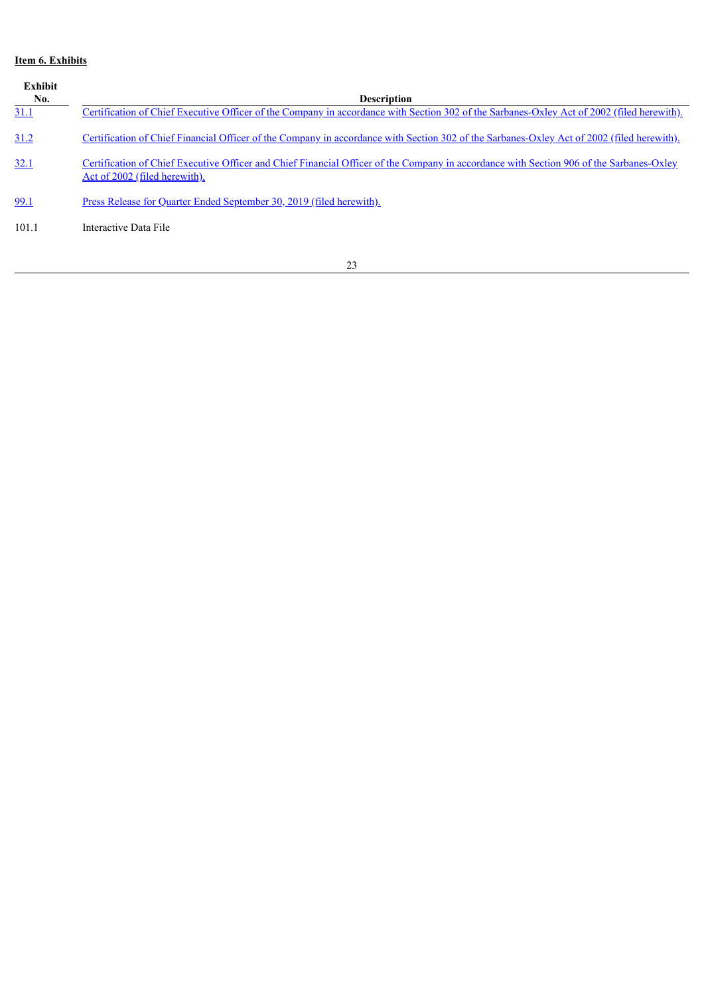# <span id="page-22-0"></span>**Item 6. Exhibits**

| Exhibit<br>No. | <b>Description</b>                                                                                                                                                        |
|----------------|---------------------------------------------------------------------------------------------------------------------------------------------------------------------------|
| 31.1           | Certification of Chief Executive Officer of the Company in accordance with Section 302 of the Sarbanes-Oxley Act of 2002 (filed herewith).                                |
| 31.2           | Certification of Chief Financial Officer of the Company in accordance with Section 302 of the Sarbanes-Oxley Act of 2002 (filed herewith).                                |
| 32.1           | Certification of Chief Executive Officer and Chief Financial Officer of the Company in accordance with Section 906 of the Sarbanes-Oxley<br>Act of 2002 (filed herewith). |
| 99.1           | <u>Press Release for Quarter Ended September 30, 2019 (filed herewith).</u>                                                                                               |
| 101.1          | Interactive Data File                                                                                                                                                     |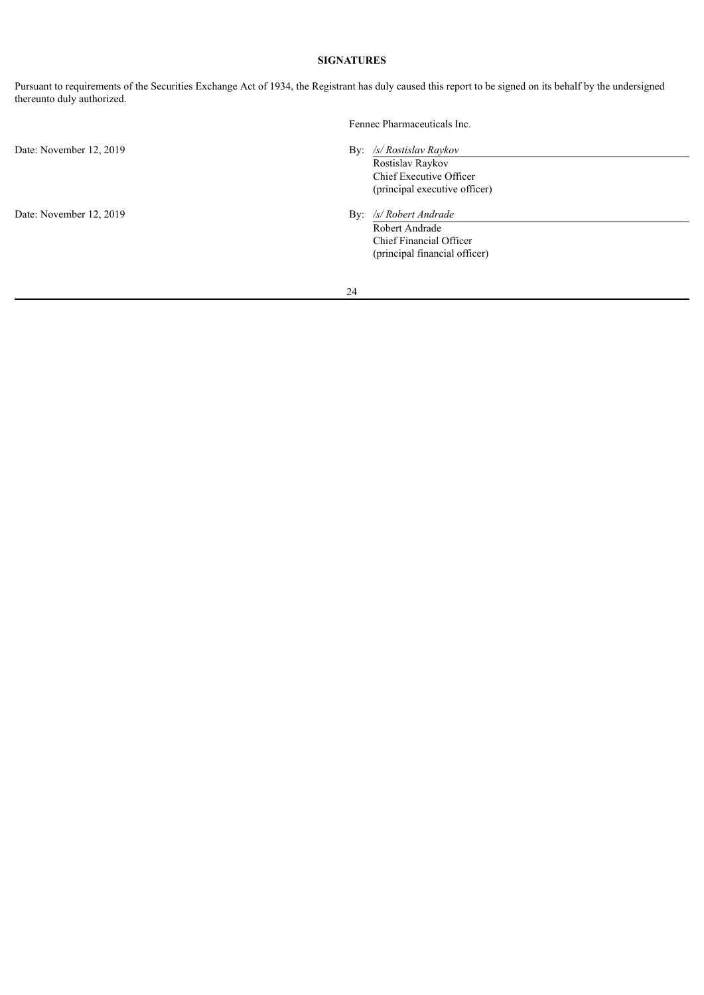# **SIGNATURES**

<span id="page-23-0"></span>Pursuant to requirements of the Securities Exchange Act of 1934, the Registrant has duly caused this report to be signed on its behalf by the undersigned thereunto duly authorized.

|                         | Fennec Pharmaceuticals Inc.                                                                              |
|-------------------------|----------------------------------------------------------------------------------------------------------|
| Date: November 12, 2019 | By: /s/ Rostislav Raykov<br>Rostislav Raykov<br>Chief Executive Officer<br>(principal executive officer) |
| Date: November 12, 2019 | By: /s/ Robert Andrade<br>Robert Andrade<br>Chief Financial Officer<br>(principal financial officer)     |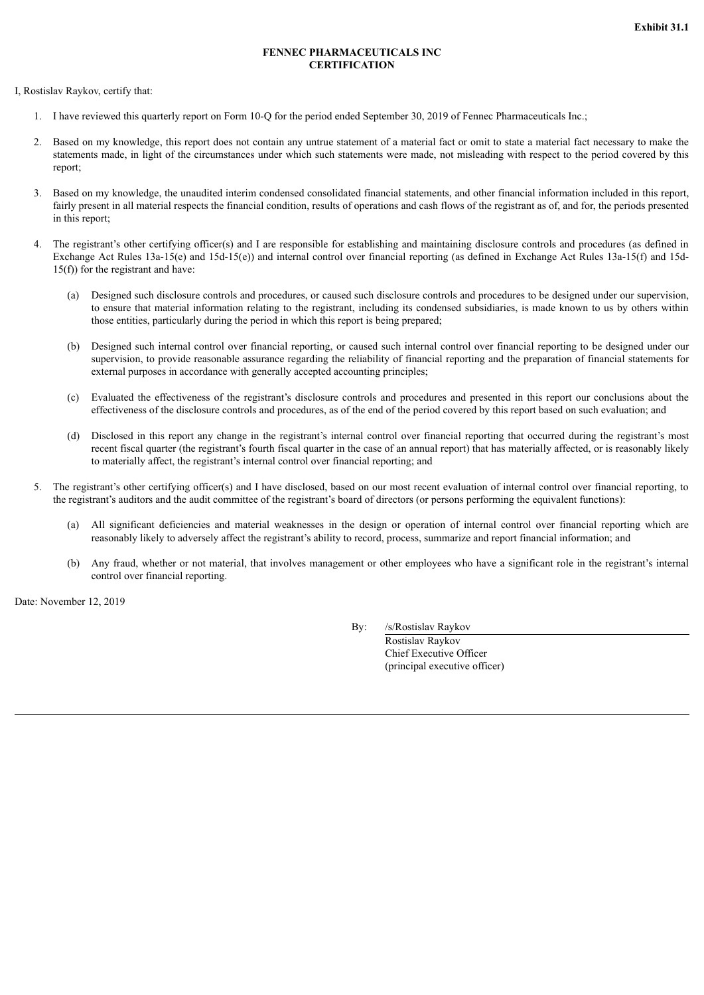# **FENNEC PHARMACEUTICALS INC CERTIFICATION**

<span id="page-24-0"></span>I, Rostislav Raykov, certify that:

- 1. I have reviewed this quarterly report on Form 10-Q for the period ended September 30, 2019 of Fennec Pharmaceuticals Inc.;
- 2. Based on my knowledge, this report does not contain any untrue statement of a material fact or omit to state a material fact necessary to make the statements made, in light of the circumstances under which such statements were made, not misleading with respect to the period covered by this report;
- 3. Based on my knowledge, the unaudited interim condensed consolidated financial statements, and other financial information included in this report, fairly present in all material respects the financial condition, results of operations and cash flows of the registrant as of, and for, the periods presented in this report;
- 4. The registrant's other certifying officer(s) and I are responsible for establishing and maintaining disclosure controls and procedures (as defined in Exchange Act Rules 13a-15(e) and 15d-15(e)) and internal control over financial reporting (as defined in Exchange Act Rules 13a-15(f) and 15d-15(f)) for the registrant and have:
	- (a) Designed such disclosure controls and procedures, or caused such disclosure controls and procedures to be designed under our supervision, to ensure that material information relating to the registrant, including its condensed subsidiaries, is made known to us by others within those entities, particularly during the period in which this report is being prepared;
	- (b) Designed such internal control over financial reporting, or caused such internal control over financial reporting to be designed under our supervision, to provide reasonable assurance regarding the reliability of financial reporting and the preparation of financial statements for external purposes in accordance with generally accepted accounting principles;
	- (c) Evaluated the effectiveness of the registrant's disclosure controls and procedures and presented in this report our conclusions about the effectiveness of the disclosure controls and procedures, as of the end of the period covered by this report based on such evaluation; and
	- (d) Disclosed in this report any change in the registrant's internal control over financial reporting that occurred during the registrant's most recent fiscal quarter (the registrant's fourth fiscal quarter in the case of an annual report) that has materially affected, or is reasonably likely to materially affect, the registrant's internal control over financial reporting; and
- 5. The registrant's other certifying officer(s) and I have disclosed, based on our most recent evaluation of internal control over financial reporting, to the registrant's auditors and the audit committee of the registrant's board of directors (or persons performing the equivalent functions):
	- (a) All significant deficiencies and material weaknesses in the design or operation of internal control over financial reporting which are reasonably likely to adversely affect the registrant's ability to record, process, summarize and report financial information; and
	- (b) Any fraud, whether or not material, that involves management or other employees who have a significant role in the registrant's internal control over financial reporting.

Date: November 12, 2019

By: /s/Rostislav Raykov

Rostislav Raykov Chief Executive Officer (principal executive officer)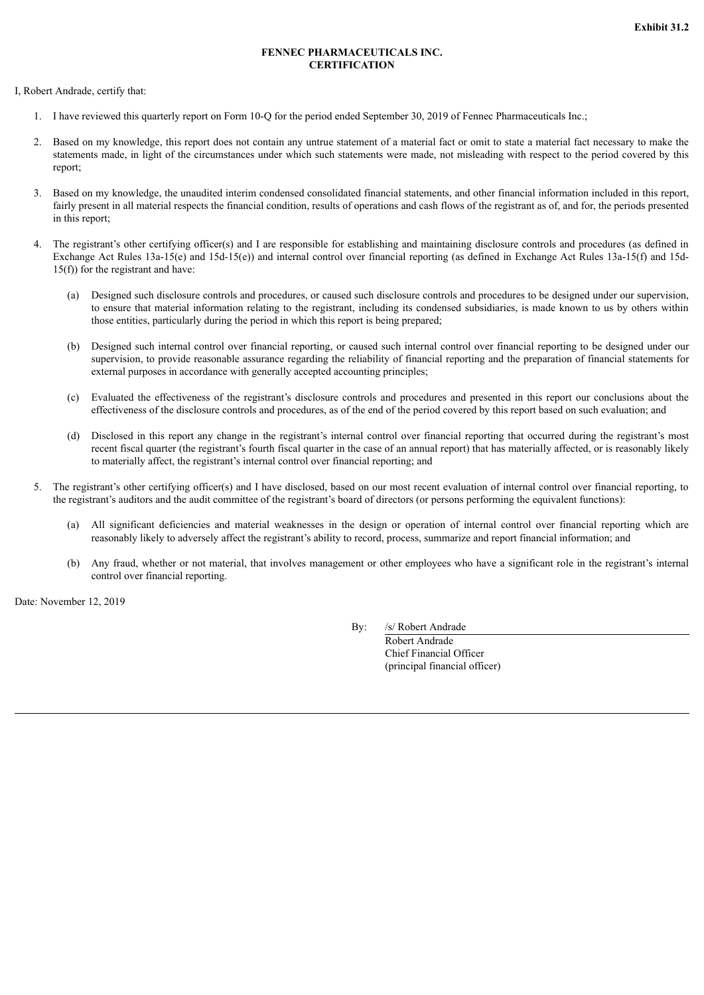# **FENNEC PHARMACEUTICALS INC. CERTIFICATION**

<span id="page-25-0"></span>I, Robert Andrade, certify that:

- 1. I have reviewed this quarterly report on Form 10-Q for the period ended September 30, 2019 of Fennec Pharmaceuticals Inc.;
- 2. Based on my knowledge, this report does not contain any untrue statement of a material fact or omit to state a material fact necessary to make the statements made, in light of the circumstances under which such statements were made, not misleading with respect to the period covered by this report;
- 3. Based on my knowledge, the unaudited interim condensed consolidated financial statements, and other financial information included in this report, fairly present in all material respects the financial condition, results of operations and cash flows of the registrant as of, and for, the periods presented in this report;
- 4. The registrant's other certifying officer(s) and I are responsible for establishing and maintaining disclosure controls and procedures (as defined in Exchange Act Rules 13a-15(e) and 15d-15(e)) and internal control over financial reporting (as defined in Exchange Act Rules 13a-15(f) and 15d-15(f)) for the registrant and have:
	- (a) Designed such disclosure controls and procedures, or caused such disclosure controls and procedures to be designed under our supervision, to ensure that material information relating to the registrant, including its condensed subsidiaries, is made known to us by others within those entities, particularly during the period in which this report is being prepared;
	- (b) Designed such internal control over financial reporting, or caused such internal control over financial reporting to be designed under our supervision, to provide reasonable assurance regarding the reliability of financial reporting and the preparation of financial statements for external purposes in accordance with generally accepted accounting principles;
	- (c) Evaluated the effectiveness of the registrant's disclosure controls and procedures and presented in this report our conclusions about the effectiveness of the disclosure controls and procedures, as of the end of the period covered by this report based on such evaluation; and
	- (d) Disclosed in this report any change in the registrant's internal control over financial reporting that occurred during the registrant's most recent fiscal quarter (the registrant's fourth fiscal quarter in the case of an annual report) that has materially affected, or is reasonably likely to materially affect, the registrant's internal control over financial reporting; and
- 5. The registrant's other certifying officer(s) and I have disclosed, based on our most recent evaluation of internal control over financial reporting, to the registrant's auditors and the audit committee of the registrant's board of directors (or persons performing the equivalent functions):
	- (a) All significant deficiencies and material weaknesses in the design or operation of internal control over financial reporting which are reasonably likely to adversely affect the registrant's ability to record, process, summarize and report financial information; and
	- (b) Any fraud, whether or not material, that involves management or other employees who have a significant role in the registrant's internal control over financial reporting.

Date: November 12, 2019

By: /s/ Robert Andrade

Robert Andrade Chief Financial Officer (principal financial officer)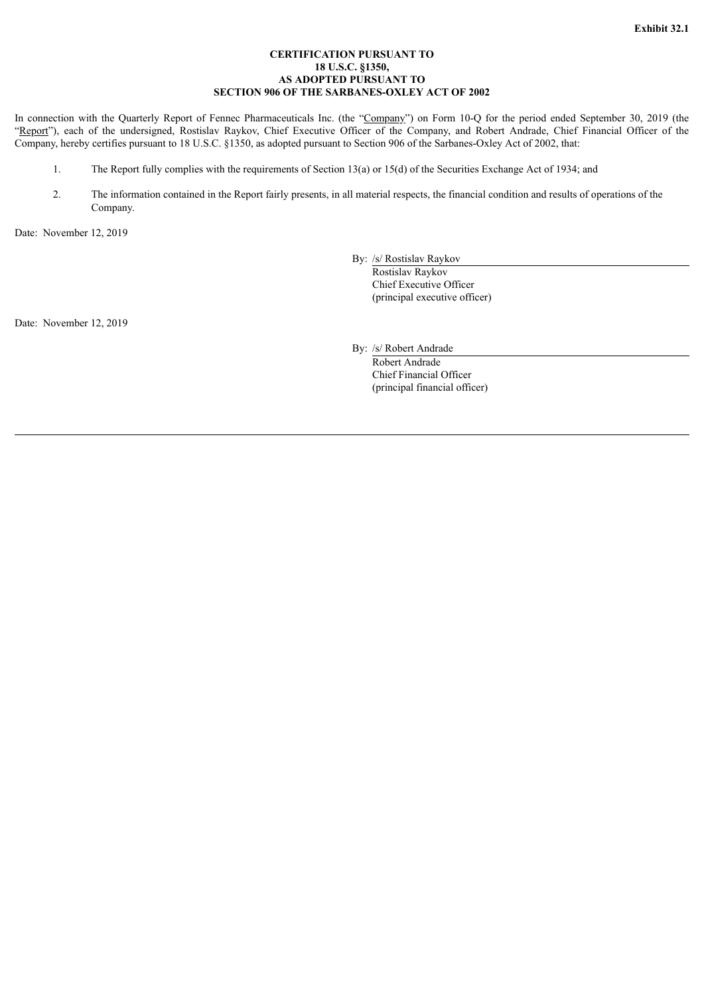# **CERTIFICATION PURSUANT TO 18 U.S.C. §1350, AS ADOPTED PURSUANT TO SECTION 906 OF THE SARBANES-OXLEY ACT OF 2002**

<span id="page-26-0"></span>In connection with the Quarterly Report of Fennec Pharmaceuticals Inc. (the "Company") on Form 10-Q for the period ended September 30, 2019 (the "Report"), each of the undersigned, Rostislav Raykov, Chief Executive Officer of the Company, and Robert Andrade, Chief Financial Officer of the Company, hereby certifies pursuant to 18 U.S.C. §1350, as adopted pursuant to Section 906 of the Sarbanes-Oxley Act of 2002, that:

- 1. The Report fully complies with the requirements of Section 13(a) or 15(d) of the Securities Exchange Act of 1934; and
- 2. The information contained in the Report fairly presents, in all material respects, the financial condition and results of operations of the Company.

Date: November 12, 2019

By: /s/ Rostislav Raykov

Rostislav Raykov Chief Executive Officer (principal executive officer)

Date: November 12, 2019

By: /s/ Robert Andrade

Robert Andrade Chief Financial Officer (principal financial officer)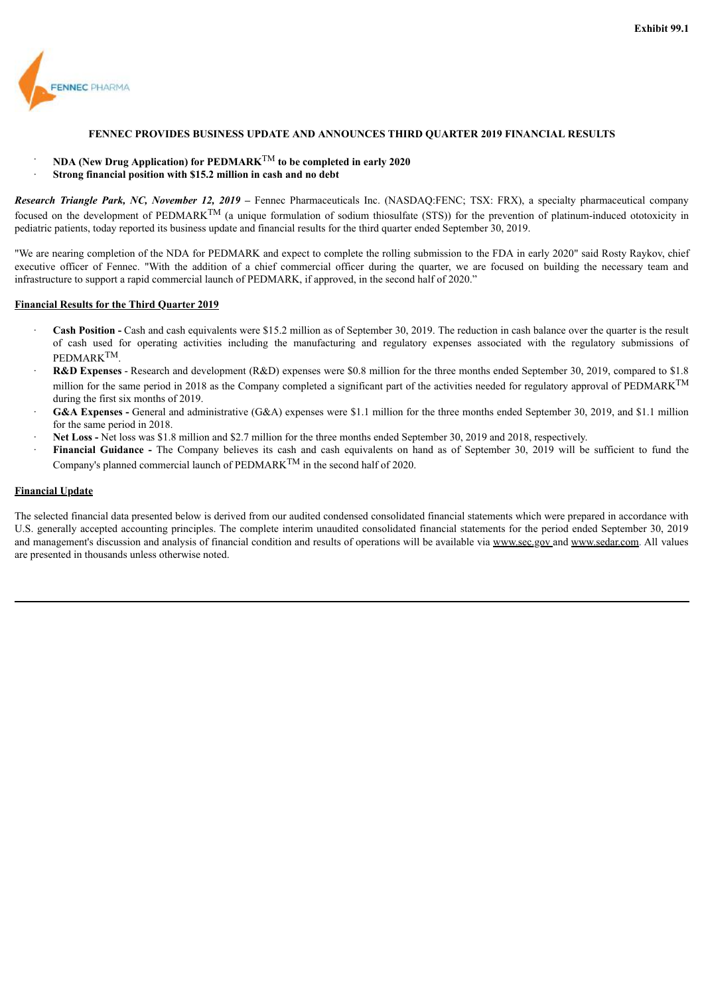<span id="page-27-0"></span>

# **FENNEC PROVIDES BUSINESS UPDATE AND ANNOUNCES THIRD QUARTER 2019 FINANCIAL RESULTS**

# · **NDA (New Drug Application) for PEDMARK**TM **to be completed in early 2020** · **Strong financial position with \$15.2 million in cash and no debt**

*Research Triangle Park, NC, November 12, 2019 –* Fennec Pharmaceuticals Inc. (NASDAQ:FENC; TSX: FRX), a specialty pharmaceutical company focused on the development of PEDMARK<sup>TM</sup> (a unique formulation of sodium thiosulfate (STS)) for the prevention of platinum-induced ototoxicity in pediatric patients, today reported its business update and financial results for the third quarter ended September 30, 2019.

"We are nearing completion of the NDA for PEDMARK and expect to complete the rolling submission to the FDA in early 2020" said Rosty Raykov, chief executive officer of Fennec. "With the addition of a chief commercial officer during the quarter, we are focused on building the necessary team and infrastructure to support a rapid commercial launch of PEDMARK, if approved, in the second half of 2020."

# **Financial Results for the Third Quarter 2019**

- · **Cash Position -** Cash and cash equivalents were \$15.2 million as of September 30, 2019. The reduction in cash balance over the quarter is the result of cash used for operating activities including the manufacturing and regulatory expenses associated with the regulatory submissions of PEDMARK TM.
- · **R&D Expenses** Research and development (R&D) expenses were \$0.8 million for the three months ended September 30, 2019, compared to \$1.8 million for the same period in 2018 as the Company completed a significant part of the activities needed for regulatory approval of PEDMARK<sup>TM</sup> during the first six months of 2019.
- · **G&A Expenses -** General and administrative (G&A) expenses were \$1.1 million for the three months ended September 30, 2019, and \$1.1 million for the same period in 2018.
- · **Net Loss -** Net loss was \$1.8 million and \$2.7 million for the three months ended September 30, 2019 and 2018, respectively.
- Financial Guidance The Company believes its cash and cash equivalents on hand as of September 30, 2019 will be sufficient to fund the Company's planned commercial launch of PEDMARK<sup>TM</sup> in the second half of 2020.

# **Financial Update**

The selected financial data presented below is derived from our audited condensed consolidated financial statements which were prepared in accordance with U.S. generally accepted accounting principles. The complete interim unaudited consolidated financial statements for the period ended September 30, 2019 and management's discussion and analysis of financial condition and results of operations will be available via www.sec.gov and www.sedar.com. All values are presented in thousands unless otherwise noted.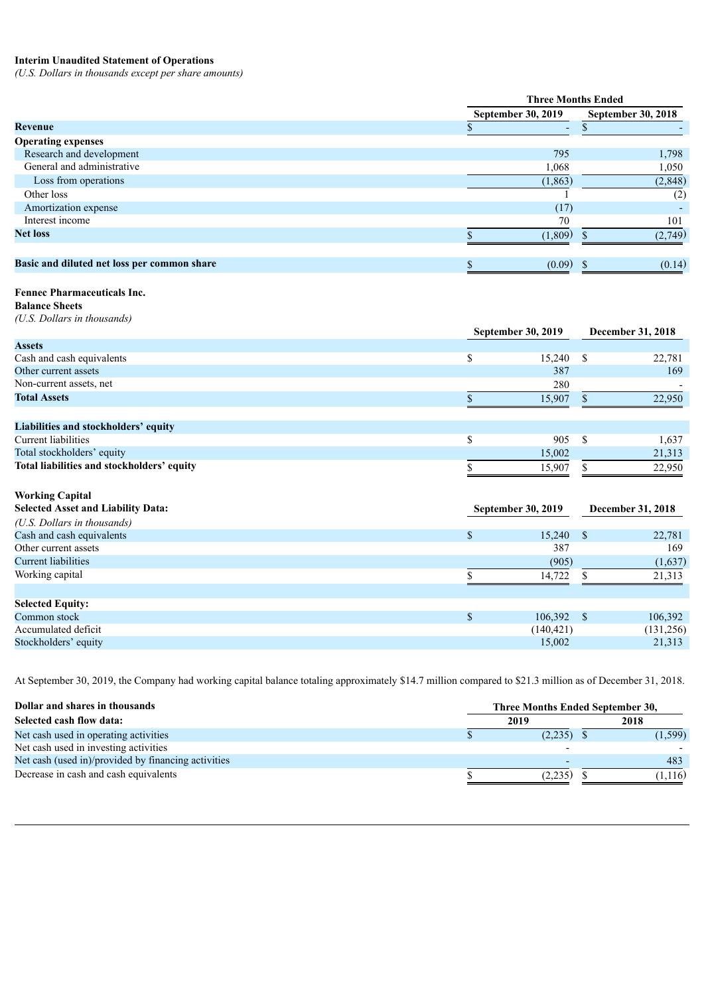# **Interim Unaudited Statement of Operations**

*(U.S. Dollars in thousands except per share amounts)*

|                                             |                          | <b>Three Months Ended</b> |  |  |
|---------------------------------------------|--------------------------|---------------------------|--|--|
|                                             | September 30, 2019       | <b>September 30, 2018</b> |  |  |
| Revenue                                     | $\overline{\phantom{0}}$ |                           |  |  |
| <b>Operating expenses</b>                   |                          |                           |  |  |
| Research and development                    | 795                      | 1,798                     |  |  |
| General and administrative                  | 1,068                    | 1,050                     |  |  |
| Loss from operations                        | (1, 863)                 | (2,848)                   |  |  |
| Other loss                                  |                          | (2)                       |  |  |
| Amortization expense                        | (17)                     |                           |  |  |
| Interest income                             | 70                       | 101                       |  |  |
| <b>Net loss</b>                             | (1,809)                  | (2,749)                   |  |  |
|                                             |                          |                           |  |  |
| Basic and diluted net loss per common share | (0.09)                   | (0.14)                    |  |  |

# **Fennec Pharmaceuticals Inc.**

**Balance Sheets**

*(U.S. Dollars in thousands)*

|                                            |   | <b>September 30, 2019</b> |               | <b>December 31, 2018</b> |  |
|--------------------------------------------|---|---------------------------|---------------|--------------------------|--|
| <b>Assets</b>                              |   |                           |               |                          |  |
| Cash and cash equivalents                  | ጦ | 15,240                    | -S            | 22,781                   |  |
| Other current assets                       |   | 387                       |               | 169                      |  |
| Non-current assets, net                    |   | 280                       |               |                          |  |
| <b>Total Assets</b>                        |   | 15.907                    |               | 22,950                   |  |
| Liabilities and stockholders' equity       |   |                           |               |                          |  |
| Current liabilities                        | ¢ | 905                       | <sup>\$</sup> | 1,637                    |  |
| Total stockholders' equity                 |   | 15,002                    |               | 21,313                   |  |
| Total liabilities and stockholders' equity |   | 15,907                    |               | 22.950                   |  |

| <b>Working Capital</b>                    |     |                           |    |            |
|-------------------------------------------|-----|---------------------------|----|------------|
| <b>Selected Asset and Liability Data:</b> |     | <b>September 30, 2019</b> |    |            |
| (U.S. Dollars in thousands)               |     |                           |    |            |
| Cash and cash equivalents                 | \$. | 15,240                    | -S | 22,781     |
| Other current assets                      |     | 387                       |    | 169        |
| Current liabilities                       |     | (905)                     |    | (1,637)    |
| Working capital                           |     | 14.722                    |    | 21,313     |
|                                           |     |                           |    |            |
| <b>Selected Equity:</b>                   |     |                           |    |            |
| Common stock                              |     | 106,392                   | -8 | 106,392    |
| Accumulated deficit                       |     | (140, 421)                |    | (131, 256) |
| Stockholders' equity                      |     | 15,002                    |    | 21,313     |

At September 30, 2019, the Company had working capital balance totaling approximately \$14.7 million compared to \$21.3 million as of December 31, 2018.

| Dollar and shares in thousands                      | Three Months Ended September 30, |         |  |          |
|-----------------------------------------------------|----------------------------------|---------|--|----------|
| Selected cash flow data:                            |                                  | 2019    |  | 2018     |
| Net cash used in operating activities               |                                  | (2,235) |  | (1, 599) |
| Net cash used in investing activities               |                                  |         |  |          |
| Net cash (used in)/provided by financing activities |                                  |         |  | 483      |
| Decrease in cash and cash equivalents               |                                  | (2,235) |  | (1.116)  |